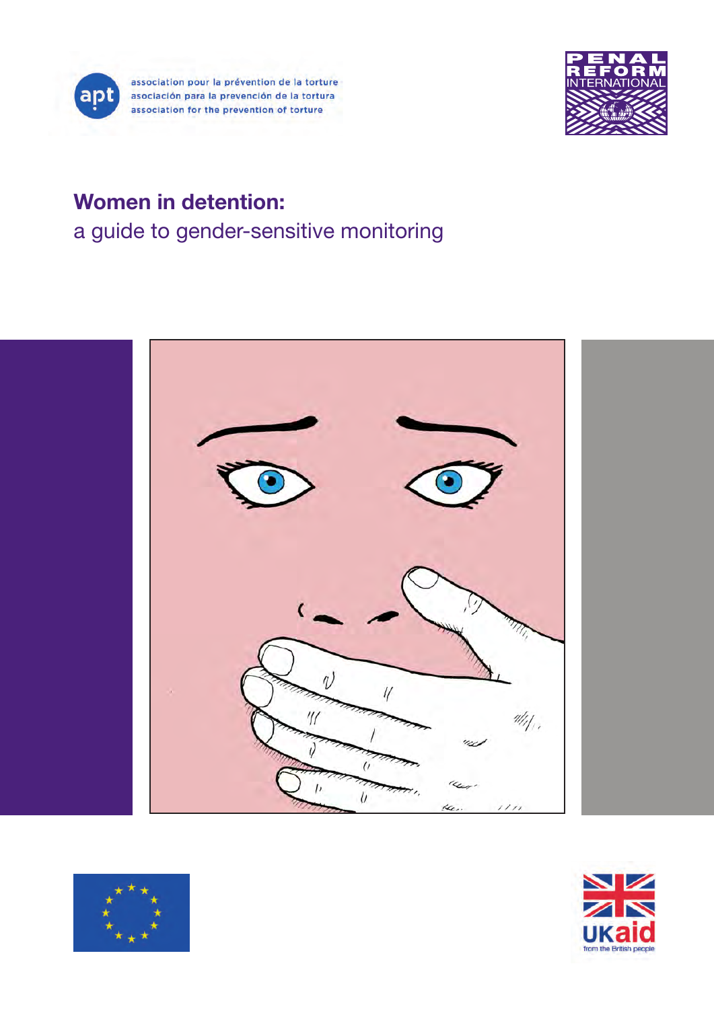



# Women in detention: a guide to gender-sensitive monitoring





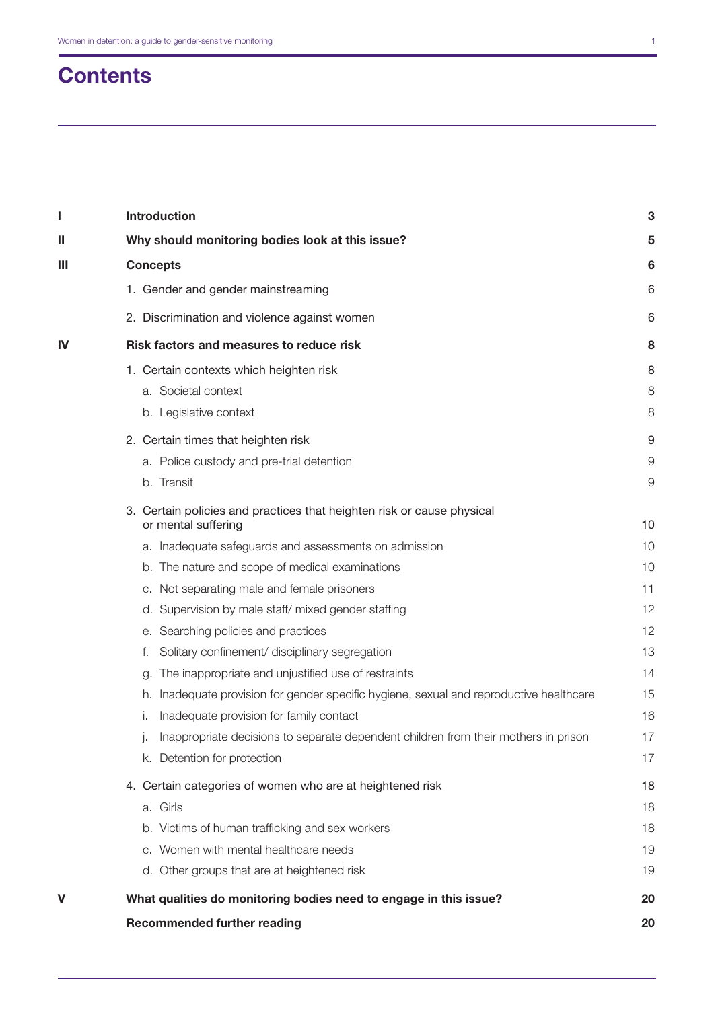# **Contents**

| I  | Introduction                                                                                  | 3  |
|----|-----------------------------------------------------------------------------------------------|----|
| Ш  | Why should monitoring bodies look at this issue?                                              | 5  |
| Ш  | <b>Concepts</b>                                                                               | 6  |
|    | 1. Gender and gender mainstreaming                                                            | 6  |
|    | 2. Discrimination and violence against women                                                  | 6  |
| IV | Risk factors and measures to reduce risk                                                      | 8  |
|    | 1. Certain contexts which heighten risk                                                       | 8  |
|    | a. Societal context                                                                           | 8  |
|    | b. Legislative context                                                                        | 8  |
|    | 2. Certain times that heighten risk                                                           | 9  |
|    | a. Police custody and pre-trial detention                                                     | 9  |
|    | b. Transit                                                                                    | 9  |
|    | 3. Certain policies and practices that heighten risk or cause physical<br>or mental suffering | 10 |
|    | a. Inadequate safeguards and assessments on admission                                         | 10 |
|    | b. The nature and scope of medical examinations                                               | 10 |
|    | c. Not separating male and female prisoners                                                   | 11 |
|    | d. Supervision by male staff/mixed gender staffing                                            | 12 |
|    | e. Searching policies and practices                                                           | 12 |
|    | Solitary confinement/ disciplinary segregation<br>f.                                          | 13 |
|    | The inappropriate and unjustified use of restraints<br>g.                                     | 14 |
|    | h. Inadequate provision for gender specific hygiene, sexual and reproductive healthcare       | 15 |
|    | Inadequate provision for family contact<br>Τ.                                                 | 16 |
|    | Inappropriate decisions to separate dependent children from their mothers in prison<br>Ŀ.     | 17 |
|    | k. Detention for protection                                                                   | 17 |
|    | 4. Certain categories of women who are at heightened risk                                     | 18 |
|    | a. Girls                                                                                      | 18 |
|    | b. Victims of human trafficking and sex workers                                               | 18 |
|    | c. Women with mental healthcare needs                                                         | 19 |
|    | d. Other groups that are at heightened risk                                                   | 19 |
| V  | What qualities do monitoring bodies need to engage in this issue?                             | 20 |
|    | <b>Recommended further reading</b>                                                            | 20 |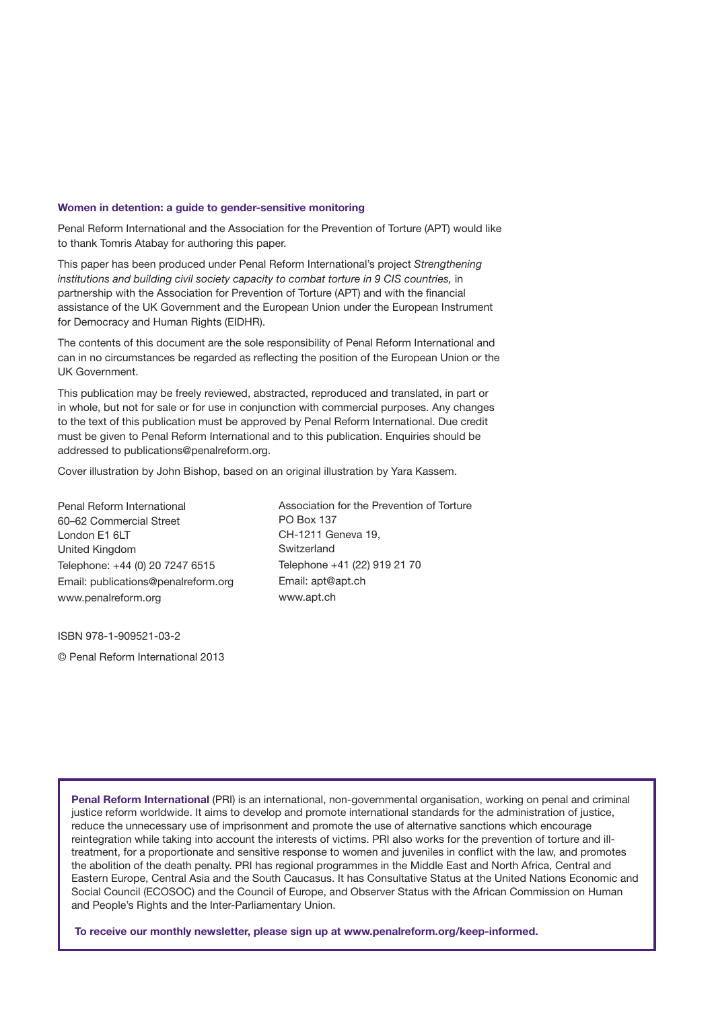#### Women in detention: a guide to gender-sensitive monitoring

Penal Reform International and the Association for the Prevention of Torture (APT) would like to thank Tomris Atabay for authoring this paper.

This paper has been produced under Penal Reform International's project *Strengthening institutions and building civil society capacity to combat torture in 9 CIS countries, in* partnership with the Association for Prevention of Torture (APT) and with the financial assistance of the UK Government and the European Union under the European Instrument for Democracy and Human Rights (EIDHR).

The contents of this document are the sole responsibility of Penal Reform International and can in no circumstances be regarded as reflecting the position of the European Union or the UK Government.

This publication may be freely reviewed, abstracted, reproduced and translated, in part or in whole, but not for sale or for use in conjunction with commercial purposes. Any changes to the text of this publication must be approved by Penal Reform International. Due credit must be given to Penal Reform International and to this publication. Enquiries should be addressed to publications@penalreform.org.

Cover illustration by John Bishop, based on an original illustration by Yara Kassem.

Penal Reform International 60–62 Commercial Street London E1 6LT United Kingdom Telephone: +44 (0) 20 7247 6515 Email: publications@penalreform.org www.penalreform.org

Association for the Prevention of Torture PO Box 137 CH-1211 Geneva 19, Switzerland Telephone +41 (22) 919 21 70 Email: apt@apt.ch www.apt.ch

ISBN 978-1-909521-03-2

© Penal Reform International 2013

Penal Reform International (PRI) is an international, non-governmental organisation, working on penal and criminal justice reform worldwide. It aims to develop and promote international standards for the administration of justice, reduce the unnecessary use of imprisonment and promote the use of alternative sanctions which encourage reintegration while taking into account the interests of victims. PRI also works for the prevention of torture and illtreatment, for a proportionate and sensitive response to women and juveniles in conflict with the law, and promotes the abolition of the death penalty. PRI has regional programmes in the Middle East and North Africa, Central and Eastern Europe, Central Asia and the South Caucasus. It has Consultative Status at the United Nations Economic and Social Council (ECOSOC) and the Council of Europe, and Observer Status with the African Commission on Human and People's Rights and the Inter-Parliamentary Union.

To receive our monthly newsletter, please sign up at www.penalreform.org/keep-informed.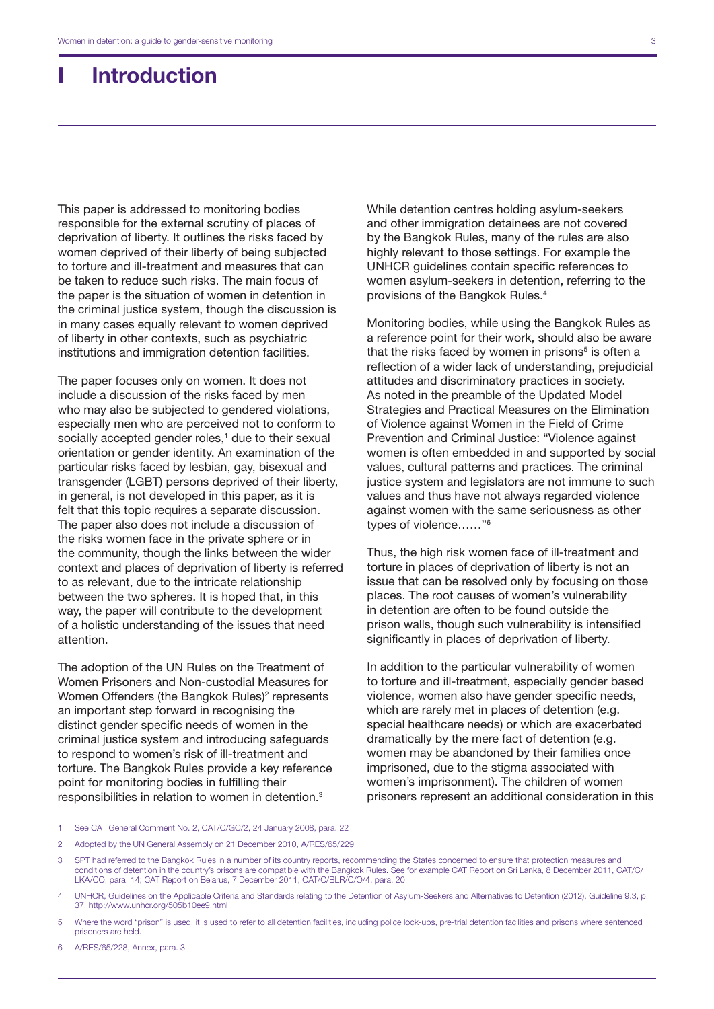## I Introduction

This paper is addressed to monitoring bodies responsible for the external scrutiny of places of deprivation of liberty. It outlines the risks faced by women deprived of their liberty of being subjected to torture and ill-treatment and measures that can be taken to reduce such risks. The main focus of the paper is the situation of women in detention in the criminal justice system, though the discussion is in many cases equally relevant to women deprived of liberty in other contexts, such as psychiatric institutions and immigration detention facilities.

The paper focuses only on women. It does not include a discussion of the risks faced by men who may also be subjected to gendered violations, especially men who are perceived not to conform to socially accepted gender roles,<sup>1</sup> due to their sexual orientation or gender identity. An examination of the particular risks faced by lesbian, gay, bisexual and transgender (LGBT) persons deprived of their liberty, in general, is not developed in this paper, as it is felt that this topic requires a separate discussion. The paper also does not include a discussion of the risks women face in the private sphere or in the community, though the links between the wider context and places of deprivation of liberty is referred to as relevant, due to the intricate relationship between the two spheres. It is hoped that, in this way, the paper will contribute to the development of a holistic understanding of the issues that need attention.

The adoption of the UN Rules on the Treatment of Women Prisoners and Non-custodial Measures for Women Offenders (the Bangkok Rules)<sup>2</sup> represents an important step forward in recognising the distinct gender specific needs of women in the criminal justice system and introducing safeguards to respond to women's risk of ill-treatment and torture. The Bangkok Rules provide a key reference point for monitoring bodies in fulfilling their responsibilities in relation to women in detention.3

While detention centres holding asylum-seekers and other immigration detainees are not covered by the Bangkok Rules, many of the rules are also highly relevant to those settings. For example the UNHCR guidelines contain specific references to women asylum-seekers in detention, referring to the provisions of the Bangkok Rules.4

Monitoring bodies, while using the Bangkok Rules as a reference point for their work, should also be aware that the risks faced by women in prisons<sup>5</sup> is often a reflection of a wider lack of understanding, prejudicial attitudes and discriminatory practices in society. As noted in the preamble of the Updated Model Strategies and Practical Measures on the Elimination of Violence against Women in the Field of Crime Prevention and Criminal Justice: "Violence against women is often embedded in and supported by social values, cultural patterns and practices. The criminal justice system and legislators are not immune to such values and thus have not always regarded violence against women with the same seriousness as other types of violence……"6

Thus, the high risk women face of ill-treatment and torture in places of deprivation of liberty is not an issue that can be resolved only by focusing on those places. The root causes of women's vulnerability in detention are often to be found outside the prison walls, though such vulnerability is intensified significantly in places of deprivation of liberty.

In addition to the particular vulnerability of women to torture and ill-treatment, especially gender based violence, women also have gender specific needs, which are rarely met in places of detention (e.g. special healthcare needs) or which are exacerbated dramatically by the mere fact of detention (e.g. women may be abandoned by their families once imprisoned, due to the stigma associated with women's imprisonment). The children of women prisoners represent an additional consideration in this

- 1 See CAT General Comment No. 2, CAT/C/GC/2, 24 January 2008, para. 22
- 2 Adopted by the UN General Assembly on 21 December 2010, A/RES/65/229
- 3 SPT had referred to the Bangkok Rules in a number of its country reports, recommending the States concerned to ensure that protection measures and conditions of detention in the country's prisons are compatible with the Bangkok Rules. See for example CAT Report on Sri Lanka, 8 December 2011, CAT/C/ LKA/CO, para. 14; CAT Report on Belarus, 7 December 2011, CAT/C/BLR/C/O/4, para. 20
- 4 UNHCR, Guidelines on the Applicable Criteria and Standards relating to the Detention of Asylum-Seekers and Alternatives to Detention (2012), Guideline 9.3, p. 37.<http://www.unhcr.org/505b10ee9.html>
- 5 Where the word "prison" is used, it is used to refer to all detention facilities, including police lock-ups, pre-trial detention facilities and prisons where sentenced prisoners are held.
- 6 A/RES/65/228, Annex, para. 3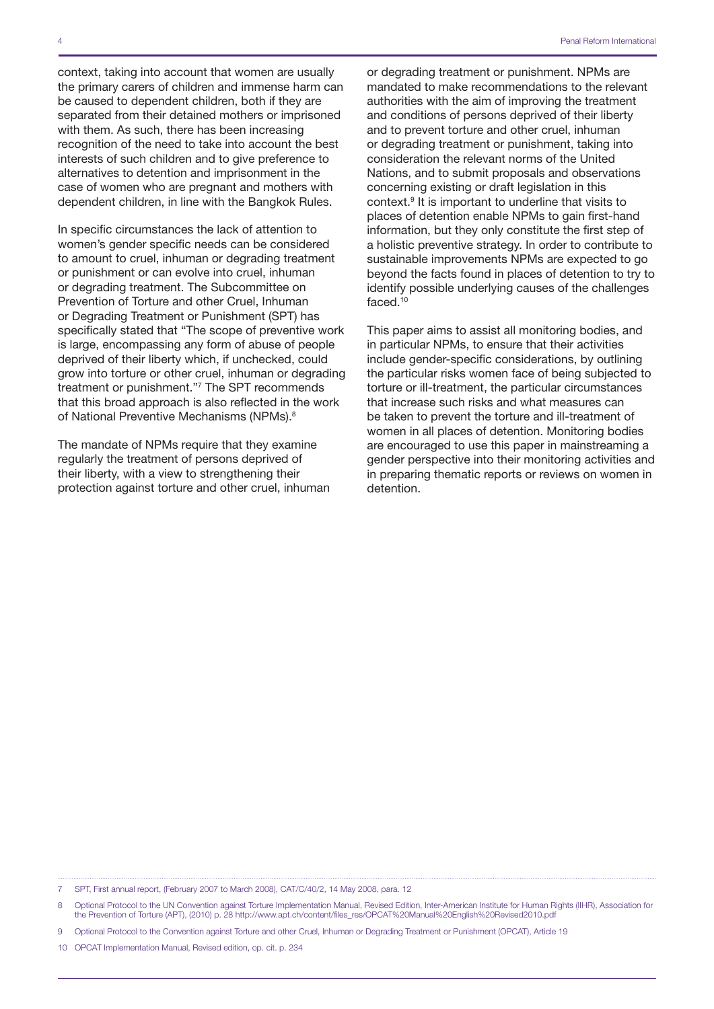context, taking into account that women are usually the primary carers of children and immense harm can be caused to dependent children, both if they are separated from their detained mothers or imprisoned with them. As such, there has been increasing recognition of the need to take into account the best interests of such children and to give preference to alternatives to detention and imprisonment in the case of women who are pregnant and mothers with dependent children, in line with the Bangkok Rules.

In specific circumstances the lack of attention to women's gender specific needs can be considered to amount to cruel, inhuman or degrading treatment or punishment or can evolve into cruel, inhuman or degrading treatment. The Subcommittee on Prevention of Torture and other Cruel, Inhuman or Degrading Treatment or Punishment (SPT) has specifically stated that "The scope of preventive work is large, encompassing any form of abuse of people deprived of their liberty which, if unchecked, could grow into torture or other cruel, inhuman or degrading treatment or punishment."7 The SPT recommends that this broad approach is also reflected in the work of National Preventive Mechanisms (NPMs).<sup>8</sup>

The mandate of NPMs require that they examine regularly the treatment of persons deprived of their liberty, with a view to strengthening their protection against torture and other cruel, inhuman or degrading treatment or punishment. NPMs are mandated to make recommendations to the relevant authorities with the aim of improving the treatment and conditions of persons deprived of their liberty and to prevent torture and other cruel, inhuman or degrading treatment or punishment, taking into consideration the relevant norms of the United Nations, and to submit proposals and observations concerning existing or draft legislation in this context.9 It is important to underline that visits to places of detention enable NPMs to gain first-hand information, but they only constitute the first step of a holistic preventive strategy. In order to contribute to sustainable improvements NPMs are expected to go beyond the facts found in places of detention to try to identify possible underlying causes of the challenges faced.10

This paper aims to assist all monitoring bodies, and in particular NPMs, to ensure that their activities include gender-specific considerations, by outlining the particular risks women face of being subjected to torture or ill-treatment, the particular circumstances that increase such risks and what measures can be taken to prevent the torture and ill-treatment of women in all places of detention. Monitoring bodies are encouraged to use this paper in mainstreaming a gender perspective into their monitoring activities and in preparing thematic reports or reviews on women in detention.

<sup>7</sup> SPT, First annual report, (February 2007 to March 2008), CAT/C/40/2, 14 May 2008, para. 12

<sup>8</sup> Optional Protocol to the UN Convention against Torture Implementation Manual, Revised Edition, Inter-American Institute for Human Rights (IIHR), Association for the Prevention of Torture (APT), (2010) p. 28 [http://www.apt.ch/content/files\\_res/OPCAT%20Manual%20English%20Revised2010.pdf](http://www.apt.ch/content/files_res/OPCAT%20Manual%20English%20Revised2010.pdf)

<sup>9</sup> Optional Protocol to the Convention against Torture and other Cruel, Inhuman or Degrading Treatment or Punishment (OPCAT), Article 19

<sup>10</sup> OPCAT Implementation Manual, Revised edition, op. cit. p. 234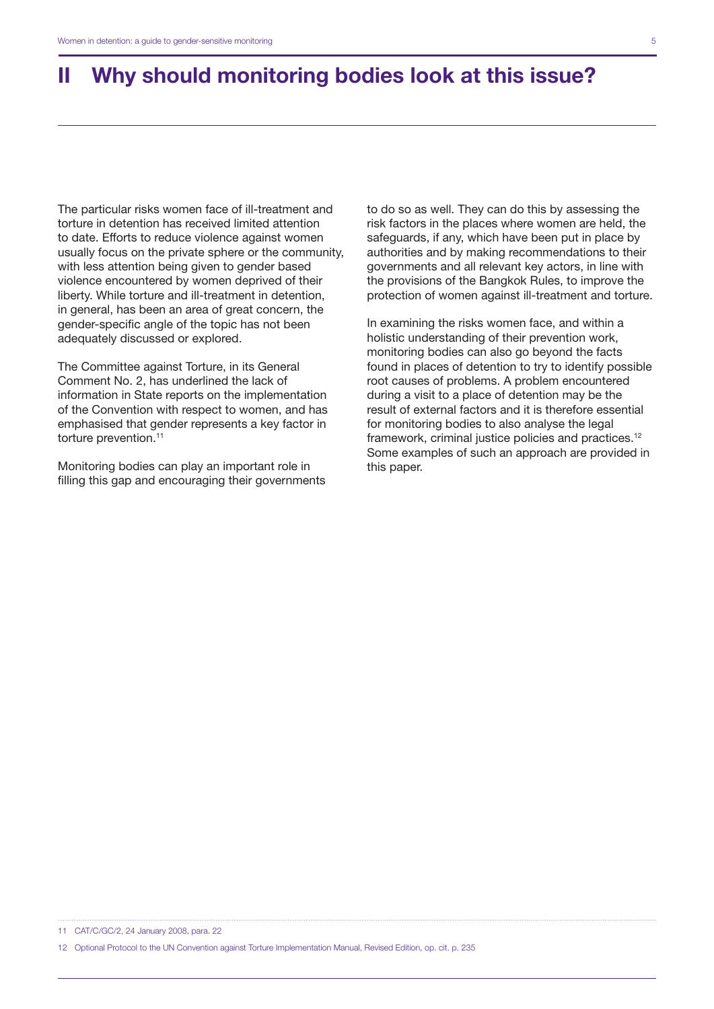# II Why should monitoring bodies look at this issue?

The particular risks women face of ill-treatment and torture in detention has received limited attention to date. Efforts to reduce violence against women usually focus on the private sphere or the community, with less attention being given to gender based violence encountered by women deprived of their liberty. While torture and ill-treatment in detention, in general, has been an area of great concern, the gender-specific angle of the topic has not been adequately discussed or explored.

The Committee against Torture, in its General Comment No. 2, has underlined the lack of information in State reports on the implementation of the Convention with respect to women, and has emphasised that gender represents a key factor in torture prevention.<sup>11</sup>

Monitoring bodies can play an important role in filling this gap and encouraging their governments to do so as well. They can do this by assessing the risk factors in the places where women are held, the safeguards, if any, which have been put in place by authorities and by making recommendations to their governments and all relevant key actors, in line with the provisions of the Bangkok Rules, to improve the protection of women against ill-treatment and torture.

In examining the risks women face, and within a holistic understanding of their prevention work, monitoring bodies can also go beyond the facts found in places of detention to try to identify possible root causes of problems. A problem encountered during a visit to a place of detention may be the result of external factors and it is therefore essential for monitoring bodies to also analyse the legal framework, criminal justice policies and practices.12 Some examples of such an approach are provided in this paper.

11 CAT/C/GC/2, 24 January 2008, para. 22

12 Optional Protocol to the UN Convention against Torture Implementation Manual, Revised Edition, op. cit. p. 235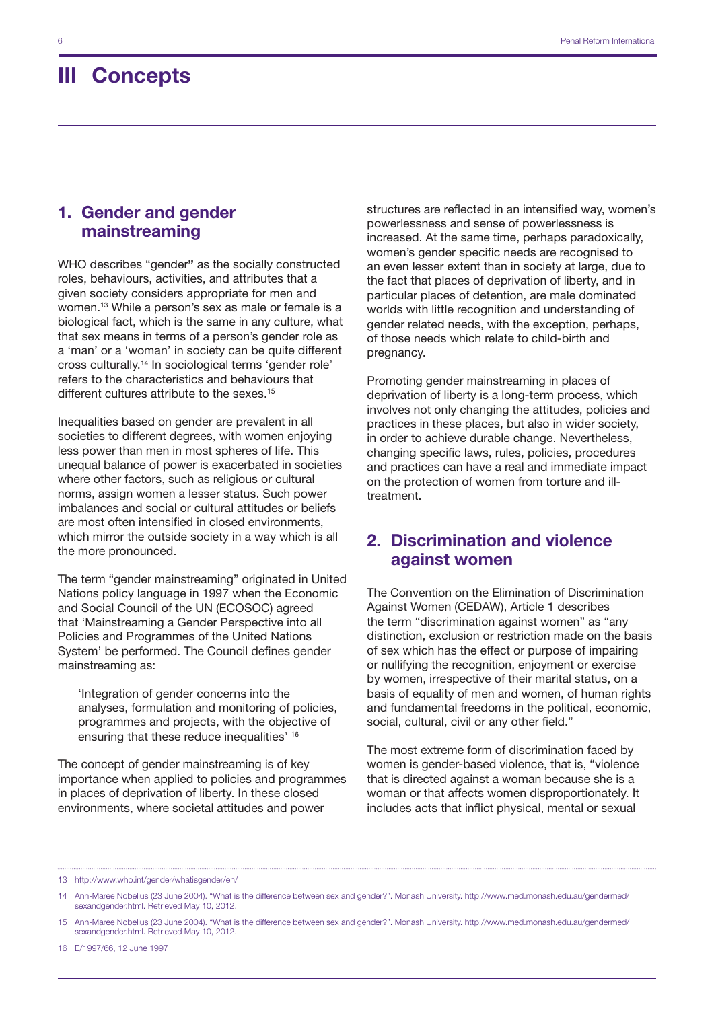## III Concepts

## 1. Gender and gender mainstreaming

WHO describes "gender" as the socially constructed roles, behaviours, activities, and attributes that a given society considers appropriate for men and women.13 While a person's sex as male or female is a biological fact, which is the same in any culture, what that sex means in terms of a person's gender role as a 'man' or a 'woman' in society can be quite different cross culturally.14 In sociological terms 'gender role' refers to the characteristics and behaviours that different cultures attribute to the sexes.<sup>15</sup>

Inequalities based on gender are prevalent in all societies to different degrees, with women enjoying less power than men in most spheres of life. This unequal balance of power is exacerbated in societies where other factors, such as religious or cultural norms, assign women a lesser status. Such power imbalances and social or cultural attitudes or beliefs are most often intensified in closed environments, which mirror the outside society in a way which is all the more pronounced.

The term "gender mainstreaming" originated in United Nations policy language in 1997 when the Economic and Social Council of the UN (ECOSOC) agreed that 'Mainstreaming a Gender Perspective into all Policies and Programmes of the United Nations System' be performed. The Council defines gender mainstreaming as:

'Integration of gender concerns into the analyses, formulation and monitoring of policies, programmes and projects, with the objective of ensuring that these reduce inequalities' 16

The concept of gender mainstreaming is of key importance when applied to policies and programmes in places of deprivation of liberty. In these closed environments, where societal attitudes and power

structures are reflected in an intensified way, women's powerlessness and sense of powerlessness is increased. At the same time, perhaps paradoxically, women's gender specific needs are recognised to an even lesser extent than in society at large, due to the fact that places of deprivation of liberty, and in particular places of detention, are male dominated worlds with little recognition and understanding of gender related needs, with the exception, perhaps, of those needs which relate to child-birth and pregnancy.

Promoting gender mainstreaming in places of deprivation of liberty is a long-term process, which involves not only changing the attitudes, policies and practices in these places, but also in wider society, in order to achieve durable change. Nevertheless, changing specific laws, rules, policies, procedures and practices can have a real and immediate impact on the protection of women from torture and illtreatment.

## 2. Discrimination and violence against women

The Convention on the Elimination of Discrimination Against Women (CEDAW), Article 1 describes the term "discrimination against women" as "any distinction, exclusion or restriction made on the basis of sex which has the effect or purpose of impairing or nullifying the recognition, enjoyment or exercise by women, irrespective of their marital status, on a basis of equality of men and women, of human rights and fundamental freedoms in the political, economic, social, cultural, civil or any other field."

The most extreme form of discrimination faced by women is gender-based violence, that is, "violence that is directed against a woman because she is a woman or that affects women disproportionately. It includes acts that inflict physical, mental or sexual

13 http://www.who.int/gender/whatisgender/en/

<sup>14</sup> Ann-Maree Nobelius (23 June 2004). ["What is the difference between sex and gender?"](http://www.med.monash.edu.au/gendermed/sexandgender.html). Monash University. [http://www.med.monash.edu.au/gendermed/](http://www.med.monash.edu.au/gendermed/sexandgender.html) [sexandgender.html.](http://www.med.monash.edu.au/gendermed/sexandgender.html) Retrieved May 10, 2012.

<sup>15</sup> Ann-Maree Nobelius (23 June 2004). ["What is the difference between sex and gender?"](http://www.med.monash.edu.au/gendermed/sexandgender.html). Monash University. [http://www.med.monash.edu.au/gendermed/](http://www.med.monash.edu.au/gendermed/sexandgender.html) [sexandgender.html.](http://www.med.monash.edu.au/gendermed/sexandgender.html) Retrieved May 10, 2012.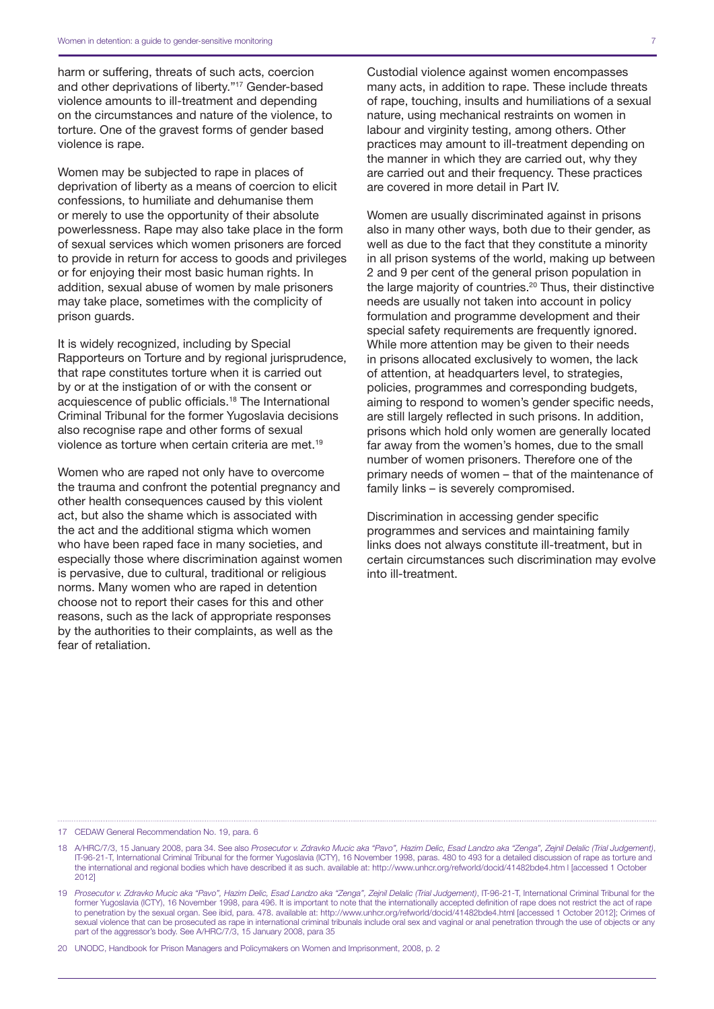harm or suffering, threats of such acts, coercion and other deprivations of liberty."17 Gender-based violence amounts to ill-treatment and depending on the circumstances and nature of the violence, to torture. One of the gravest forms of gender based violence is rape.

Women may be subjected to rape in places of deprivation of liberty as a means of coercion to elicit confessions, to humiliate and dehumanise them or merely to use the opportunity of their absolute powerlessness. Rape may also take place in the form of sexual services which women prisoners are forced to provide in return for access to goods and privileges or for enjoying their most basic human rights. In addition, sexual abuse of women by male prisoners may take place, sometimes with the complicity of prison guards.

It is widely recognized, including by Special Rapporteurs on Torture and by regional jurisprudence, that rape constitutes torture when it is carried out by or at the instigation of or with the consent or acquiescence of public officials.18 The International Criminal Tribunal for the former Yugoslavia decisions also recognise rape and other forms of sexual violence as torture when certain criteria are met.19

Women who are raped not only have to overcome the trauma and confront the potential pregnancy and other health consequences caused by this violent act, but also the shame which is associated with the act and the additional stigma which women who have been raped face in many societies, and especially those where discrimination against women is pervasive, due to cultural, traditional or religious norms. Many women who are raped in detention choose not to report their cases for this and other reasons, such as the lack of appropriate responses by the authorities to their complaints, as well as the fear of retaliation.

Custodial violence against women encompasses many acts, in addition to rape. These include threats of rape, touching, insults and humiliations of a sexual nature, using mechanical restraints on women in labour and virginity testing, among others. Other practices may amount to ill-treatment depending on the manner in which they are carried out, why they are carried out and their frequency. These practices are covered in more detail in Part IV.

Women are usually discriminated against in prisons also in many other ways, both due to their gender, as well as due to the fact that they constitute a minority in all prison systems of the world, making up between 2 and 9 per cent of the general prison population in the large majority of countries.20 Thus, their distinctive needs are usually not taken into account in policy formulation and programme development and their special safety requirements are frequently ignored. While more attention may be given to their needs in prisons allocated exclusively to women, the lack of attention, at headquarters level, to strategies, policies, programmes and corresponding budgets, aiming to respond to women's gender specific needs, are still largely reflected in such prisons. In addition, prisons which hold only women are generally located far away from the women's homes, due to the small number of women prisoners. Therefore one of the primary needs of women – that of the maintenance of family links – is severely compromised.

Discrimination in accessing gender specific programmes and services and maintaining family links does not always constitute ill-treatment, but in certain circumstances such discrimination may evolve into ill-treatment.

17 CEDAW General Recommendation No. 19, para. 6

20 UNODC, Handbook for Prison Managers and Policymakers on Women and Imprisonment, 2008, p. 2

<sup>18</sup> A/HRC/7/3, 15 January 2008, para 34. See also *Prosecutor v. Zdravko Mucic aka "Pavo", Hazim Delic, Esad Landzo aka "Zenga", Zejnil Delalic (Trial Judgement)*, IT-96-21-T, International Criminal Tribunal for the former Yugoslavia (ICTY), 16 November 1998, paras. 480 to 493 for a detailed discussion of rape as torture and the international and regional bodies which have described it as such. available at: <http://www.unhcr.org/refworld/docid/41482bde4.htm> l [accessed 1 October 2012]

<sup>19</sup> *Prosecutor v. Zdravko Mucic aka "Pavo", Hazim Delic, Esad Landzo aka "Zenga", Zejnil Delalic (Trial Judgement)*, IT-96-21-T, International Criminal Tribunal for the former Yugoslavia (ICTY), 16 November 1998, para 496. It is important to note that the internationally accepted definition of rape does not restrict the act of rape to penetration by the sexual organ. See ibid, para. 478. available at: http://www.unhcr.org/refworld/docid/41482bde4.html [accessed 1 October 2012]; Crimes of sexual violence that can be prosecuted as rape in international criminal tribunals include oral sex and vaginal or anal penetration through the use of objects or any part of the aggressor's body. See A/HRC/7/3, 15 January 2008, para 35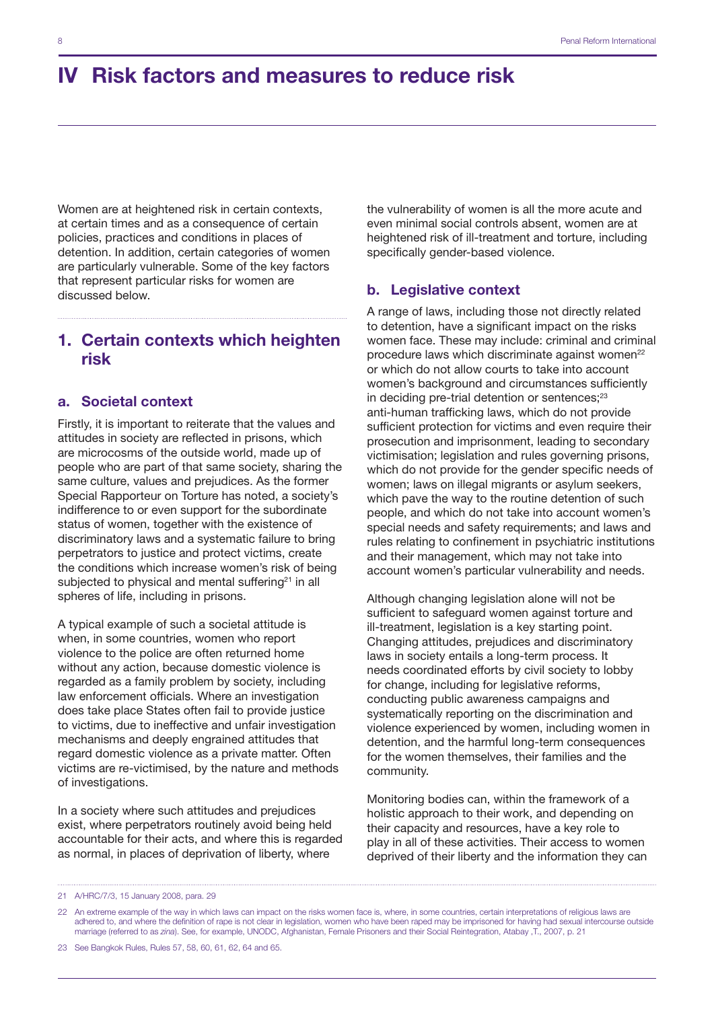Women are at heightened risk in certain contexts, at certain times and as a consequence of certain policies, practices and conditions in places of detention. In addition, certain categories of women are particularly vulnerable. Some of the key factors that represent particular risks for women are discussed below.

## 1. Certain contexts which heighten risk

#### a. Societal context

Firstly, it is important to reiterate that the values and attitudes in society are reflected in prisons, which are microcosms of the outside world, made up of people who are part of that same society, sharing the same culture, values and prejudices. As the former Special Rapporteur on Torture has noted, a society's indifference to or even support for the subordinate status of women, together with the existence of discriminatory laws and a systematic failure to bring perpetrators to justice and protect victims, create the conditions which increase women's risk of being subjected to physical and mental suffering $21$  in all spheres of life, including in prisons.

A typical example of such a societal attitude is when, in some countries, women who report violence to the police are often returned home without any action, because domestic violence is regarded as a family problem by society, including law enforcement officials. Where an investigation does take place States often fail to provide justice to victims, due to ineffective and unfair investigation mechanisms and deeply engrained attitudes that regard domestic violence as a private matter. Often victims are re-victimised, by the nature and methods of investigations.

In a society where such attitudes and prejudices exist, where perpetrators routinely avoid being held accountable for their acts, and where this is regarded as normal, in places of deprivation of liberty, where

the vulnerability of women is all the more acute and even minimal social controls absent, women are at heightened risk of ill-treatment and torture, including specifically gender-based violence.

#### b. Legislative context

A range of laws, including those not directly related to detention, have a significant impact on the risks women face. These may include: criminal and criminal procedure laws which discriminate against women<sup>22</sup> or which do not allow courts to take into account women's background and circumstances sufficiently in deciding pre-trial detention or sentences;<sup>23</sup> anti-human trafficking laws, which do not provide sufficient protection for victims and even require their prosecution and imprisonment, leading to secondary victimisation; legislation and rules governing prisons, which do not provide for the gender specific needs of women; laws on illegal migrants or asylum seekers, which pave the way to the routine detention of such people, and which do not take into account women's special needs and safety requirements; and laws and rules relating to confinement in psychiatric institutions and their management, which may not take into account women's particular vulnerability and needs.

Although changing legislation alone will not be sufficient to safeguard women against torture and ill-treatment, legislation is a key starting point. Changing attitudes, prejudices and discriminatory laws in society entails a long-term process. It needs coordinated efforts by civil society to lobby for change, including for legislative reforms, conducting public awareness campaigns and systematically reporting on the discrimination and violence experienced by women, including women in detention, and the harmful long-term consequences for the women themselves, their families and the community.

Monitoring bodies can, within the framework of a holistic approach to their work, and depending on their capacity and resources, have a key role to play in all of these activities. Their access to women deprived of their liberty and the information they can

<sup>21</sup> A/HRC/7/3, 15 January 2008, para. 29

<sup>22</sup> An extreme example of the way in which laws can impact on the risks women face is, where, in some countries, certain interpretations of religious laws are adhered to, and where the definition of rape is not clear in legislation, women who have been raped may be imprisoned for having had sexual intercourse outside marriage (referred to as *zina*). See, for example, UNODC, Afghanistan, Female Prisoners and their Social Reintegration, Atabay ,T., 2007, p. 21

<sup>23</sup> See Bangkok Rules, Rules 57, 58, 60, 61, 62, 64 and 65.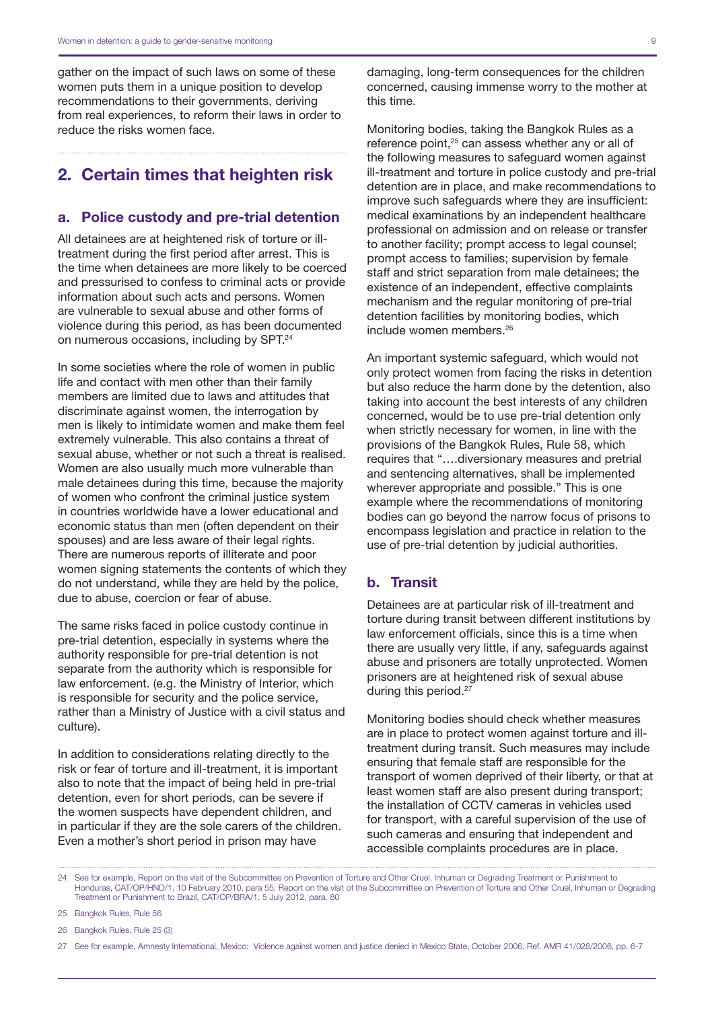gather on the impact of such laws on some of these women puts them in a unique position to develop recommendations to their governments, deriving from real experiences, to reform their laws in order to reduce the risks women face.

## 2. Certain times that heighten risk

#### a. Police custody and pre-trial detention

All detainees are at heightened risk of torture or illtreatment during the first period after arrest. This is the time when detainees are more likely to be coerced and pressurised to confess to criminal acts or provide information about such acts and persons. Women are vulnerable to sexual abuse and other forms of violence during this period, as has been documented on numerous occasions, including by SPT.24

In some societies where the role of women in public life and contact with men other than their family members are limited due to laws and attitudes that discriminate against women, the interrogation by men is likely to intimidate women and make them feel extremely vulnerable. This also contains a threat of sexual abuse, whether or not such a threat is realised. Women are also usually much more vulnerable than male detainees during this time, because the majority of women who confront the criminal justice system in countries worldwide have a lower educational and economic status than men (often dependent on their spouses) and are less aware of their legal rights. There are numerous reports of illiterate and poor women signing statements the contents of which they do not understand, while they are held by the police, due to abuse, coercion or fear of abuse.

The same risks faced in police custody continue in pre-trial detention, especially in systems where the authority responsible for pre-trial detention is not separate from the authority which is responsible for law enforcement. (e.g. the Ministry of Interior, which is responsible for security and the police service, rather than a Ministry of Justice with a civil status and culture).

In addition to considerations relating directly to the risk or fear of torture and ill-treatment, it is important also to note that the impact of being held in pre-trial detention, even for short periods, can be severe if the women suspects have dependent children, and in particular if they are the sole carers of the children. Even a mother's short period in prison may have

damaging, long-term consequences for the children concerned, causing immense worry to the mother at this time.

Monitoring bodies, taking the Bangkok Rules as a reference point.<sup>25</sup> can assess whether any or all of the following measures to safeguard women against ill-treatment and torture in police custody and pre-trial detention are in place, and make recommendations to improve such safeguards where they are insufficient: medical examinations by an independent healthcare professional on admission and on release or transfer to another facility; prompt access to legal counsel; prompt access to families; supervision by female staff and strict separation from male detainees; the existence of an independent, effective complaints mechanism and the regular monitoring of pre-trial detention facilities by monitoring bodies, which include women members.26

An important systemic safeguard, which would not only protect women from facing the risks in detention but also reduce the harm done by the detention, also taking into account the best interests of any children concerned, would be to use pre-trial detention only when strictly necessary for women, in line with the provisions of the Bangkok Rules, Rule 58, which requires that "….diversionary measures and pretrial and sentencing alternatives, shall be implemented wherever appropriate and possible." This is one example where the recommendations of monitoring bodies can go beyond the narrow focus of prisons to encompass legislation and practice in relation to the use of pre-trial detention by judicial authorities.

#### b. Transit

Detainees are at particular risk of ill-treatment and torture during transit between different institutions by law enforcement officials, since this is a time when there are usually very little, if any, safeguards against abuse and prisoners are totally unprotected. Women prisoners are at heightened risk of sexual abuse during this period.<sup>27</sup>

Monitoring bodies should check whether measures are in place to protect women against torture and illtreatment during transit. Such measures may include ensuring that female staff are responsible for the transport of women deprived of their liberty, or that at least women staff are also present during transport; the installation of CCTV cameras in vehicles used for transport, with a careful supervision of the use of such cameras and ensuring that independent and accessible complaints procedures are in place.

<sup>24</sup> See for example, Report on the visit of the Subcommittee on Prevention of Torture and Other Cruel, Inhuman or Degrading Treatment or Punishment to Honduras, CAT/OP/HND/1, 10 February 2010, para 55; Report on the visit of the Subcommittee on Prevention of Torture and Other Cruel, Inhuman or Degrading Treatment or Punishment to Brazil, CAT/OP/BRA/1, 5 July 2012, para. 80

<sup>25</sup> Bangkok Rules, Rule 56

<sup>26</sup> Bangkok Rules, Rule 25 (3)

<sup>27</sup> See for example, Amnesty International, Mexico: Violence against women and justice denied in Mexico State, October 2006, Ref. AMR 41/028/2006, pp. 6-7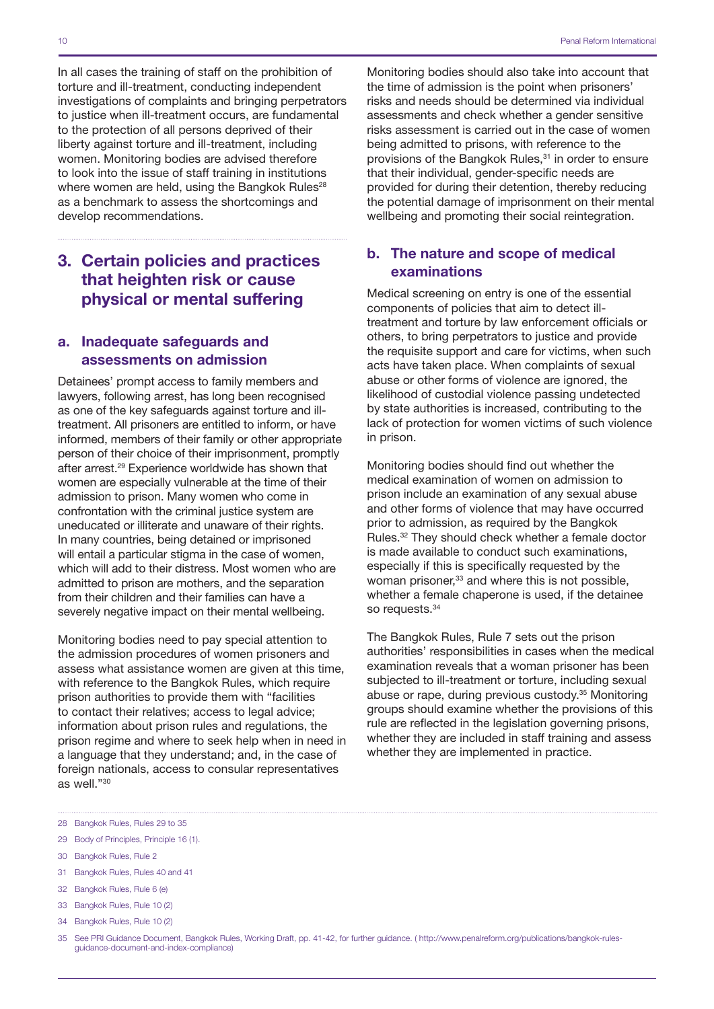In all cases the training of staff on the prohibition of torture and ill-treatment, conducting independent investigations of complaints and bringing perpetrators to justice when ill-treatment occurs, are fundamental to the protection of all persons deprived of their liberty against torture and ill-treatment, including women. Monitoring bodies are advised therefore to look into the issue of staff training in institutions where women are held, using the Bangkok Rules<sup>28</sup> as a benchmark to assess the shortcomings and develop recommendations.

## 3. Certain policies and practices that heighten risk or cause physical or mental suffering

### a. Inadequate safeguards and assessments on admission

Detainees' prompt access to family members and lawyers, following arrest, has long been recognised as one of the key safeguards against torture and illtreatment. All prisoners are entitled to inform, or have informed, members of their family or other appropriate person of their choice of their imprisonment, promptly after arrest.29 Experience worldwide has shown that women are especially vulnerable at the time of their admission to prison. Many women who come in confrontation with the criminal justice system are uneducated or illiterate and unaware of their rights. In many countries, being detained or imprisoned will entail a particular stigma in the case of women, which will add to their distress. Most women who are admitted to prison are mothers, and the separation from their children and their families can have a severely negative impact on their mental wellbeing.

Monitoring bodies need to pay special attention to the admission procedures of women prisoners and assess what assistance women are given at this time, with reference to the Bangkok Rules, which require prison authorities to provide them with "facilities to contact their relatives; access to legal advice; information about prison rules and regulations, the prison regime and where to seek help when in need in a language that they understand; and, in the case of foreign nationals, access to consular representatives as well."30

Monitoring bodies should also take into account that the time of admission is the point when prisoners' risks and needs should be determined via individual assessments and check whether a gender sensitive risks assessment is carried out in the case of women being admitted to prisons, with reference to the provisions of the Bangkok Rules,<sup>31</sup> in order to ensure that their individual, gender-specific needs are provided for during their detention, thereby reducing the potential damage of imprisonment on their mental wellbeing and promoting their social reintegration.

## b. The nature and scope of medical examinations

Medical screening on entry is one of the essential components of policies that aim to detect illtreatment and torture by law enforcement officials or others, to bring perpetrators to justice and provide the requisite support and care for victims, when such acts have taken place. When complaints of sexual abuse or other forms of violence are ignored, the likelihood of custodial violence passing undetected by state authorities is increased, contributing to the lack of protection for women victims of such violence in prison.

Monitoring bodies should find out whether the medical examination of women on admission to prison include an examination of any sexual abuse and other forms of violence that may have occurred prior to admission, as required by the Bangkok Rules.32 They should check whether a female doctor is made available to conduct such examinations, especially if this is specifically requested by the woman prisoner,<sup>33</sup> and where this is not possible, whether a female chaperone is used, if the detainee so requests.<sup>34</sup>

The Bangkok Rules, Rule 7 sets out the prison authorities' responsibilities in cases when the medical examination reveals that a woman prisoner has been subjected to ill-treatment or torture, including sexual abuse or rape, during previous custody.35 Monitoring groups should examine whether the provisions of this rule are reflected in the legislation governing prisons, whether they are included in staff training and assess whether they are implemented in practice.

29 Body of Principles, Principle 16 (1).

- 31 Bangkok Rules, Rules 40 and 41
- 32 Bangkok Rules, Rule 6 (e)
- 33 Bangkok Rules, Rule 10 (2)
- 34 Bangkok Rules, Rule 10 (2)

<sup>28</sup> Bangkok Rules, Rules 29 to 35

<sup>30</sup> Bangkok Rules, Rule 2

<sup>35</sup> See PRI Guidance Document, Bangkok Rules, Working Draft, pp. 41-42, for further guidance. ( [http://www.penalreform.org/publications/bangkok-rules](http://www.penalreform.org/publications/bangkok-rules-guidance-document-and-index-compliance)[guidance-document-and-index-compliance](http://www.penalreform.org/publications/bangkok-rules-guidance-document-and-index-compliance))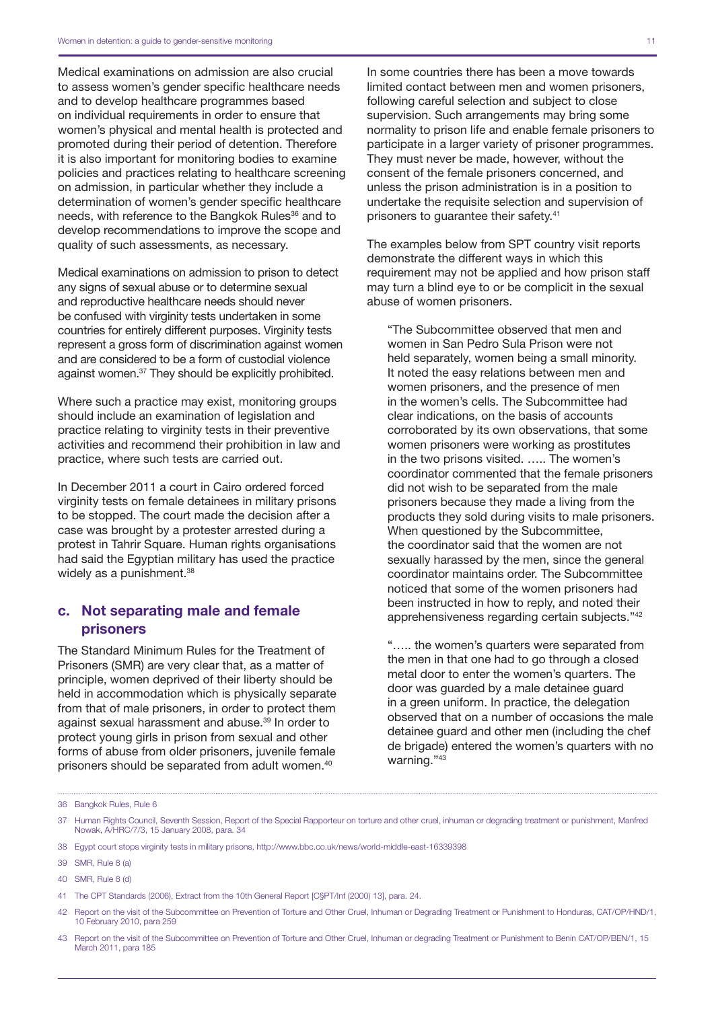Medical examinations on admission are also crucial to assess women's gender specific healthcare needs and to develop healthcare programmes based on individual requirements in order to ensure that women's physical and mental health is protected and promoted during their period of detention. Therefore it is also important for monitoring bodies to examine policies and practices relating to healthcare screening on admission, in particular whether they include a determination of women's gender specific healthcare needs, with reference to the Bangkok Rules<sup>36</sup> and to develop recommendations to improve the scope and quality of such assessments, as necessary.

Medical examinations on admission to prison to detect any signs of sexual abuse or to determine sexual and reproductive healthcare needs should never be confused with virginity tests undertaken in some countries for entirely different purposes. Virginity tests represent a gross form of discrimination against women and are considered to be a form of custodial violence against women.37 They should be explicitly prohibited.

Where such a practice may exist, monitoring groups should include an examination of legislation and practice relating to virginity tests in their preventive activities and recommend their prohibition in law and practice, where such tests are carried out.

In December 2011 a court in Cairo ordered forced virginity tests on female detainees in military prisons to be stopped. The court made the decision after a case was brought by a protester arrested during a protest in Tahrir Square. Human rights organisations had said the Egyptian military has used the practice widely as a punishment.<sup>38</sup>

### c. Not separating male and female prisoners

The Standard Minimum Rules for the Treatment of Prisoners (SMR) are very clear that, as a matter of principle, women deprived of their liberty should be held in accommodation which is physically separate from that of male prisoners, in order to protect them against sexual harassment and abuse.<sup>39</sup> In order to protect young girls in prison from sexual and other forms of abuse from older prisoners, juvenile female prisoners should be separated from adult women.<sup>40</sup>

In some countries there has been a move towards limited contact between men and women prisoners, following careful selection and subject to close supervision. Such arrangements may bring some normality to prison life and enable female prisoners to participate in a larger variety of prisoner programmes. They must never be made, however, without the consent of the female prisoners concerned, and unless the prison administration is in a position to undertake the requisite selection and supervision of prisoners to guarantee their safety.41

The examples below from SPT country visit reports demonstrate the different ways in which this requirement may not be applied and how prison staff may turn a blind eye to or be complicit in the sexual abuse of women prisoners.

"The Subcommittee observed that men and women in San Pedro Sula Prison were not held separately, women being a small minority. It noted the easy relations between men and women prisoners, and the presence of men in the women's cells. The Subcommittee had clear indications, on the basis of accounts corroborated by its own observations, that some women prisoners were working as prostitutes in the two prisons visited. ….. The women's coordinator commented that the female prisoners did not wish to be separated from the male prisoners because they made a living from the products they sold during visits to male prisoners. When questioned by the Subcommittee, the coordinator said that the women are not sexually harassed by the men, since the general coordinator maintains order. The Subcommittee noticed that some of the women prisoners had been instructed in how to reply, and noted their apprehensiveness regarding certain subjects."42

"….. the women's quarters were separated from the men in that one had to go through a closed metal door to enter the women's quarters. The door was guarded by a male detainee guard in a green uniform. In practice, the delegation observed that on a number of occasions the male detainee guard and other men (including the chef de brigade) entered the women's quarters with no warning."43

<sup>36</sup> Bangkok Rules, Rule 6

<sup>37</sup> Human Rights Council, Seventh Session, Report of the Special Rapporteur on torture and other cruel, inhuman or degrading treatment or punishment, Manfred Nowak, A/HRC/7/3, 15 January 2008, para. 34

<sup>38</sup> Egypt court stops virginity tests in military prisons,<http://www.bbc.co.uk/news/world-middle-east-16339398>

<sup>39</sup> SMR, Rule 8 (a)

<sup>40</sup> SMR, Rule 8 (d)

<sup>41</sup> The CPT Standards (2006), Extract from the 10th General Report [C§PT/Inf (2000) 13], para. 24.

<sup>42</sup> Report on the visit of the Subcommittee on Prevention of Torture and Other Cruel, Inhuman or Degrading Treatment or Punishment to Honduras, CAT/OP/HND/1, 10 February 2010, para 259

<sup>43</sup> Report on the visit of the Subcommittee on Prevention of Torture and Other Cruel, Inhuman or degrading Treatment or Punishment to Benin CAT/OP/BEN/1, 15 March 2011, para 185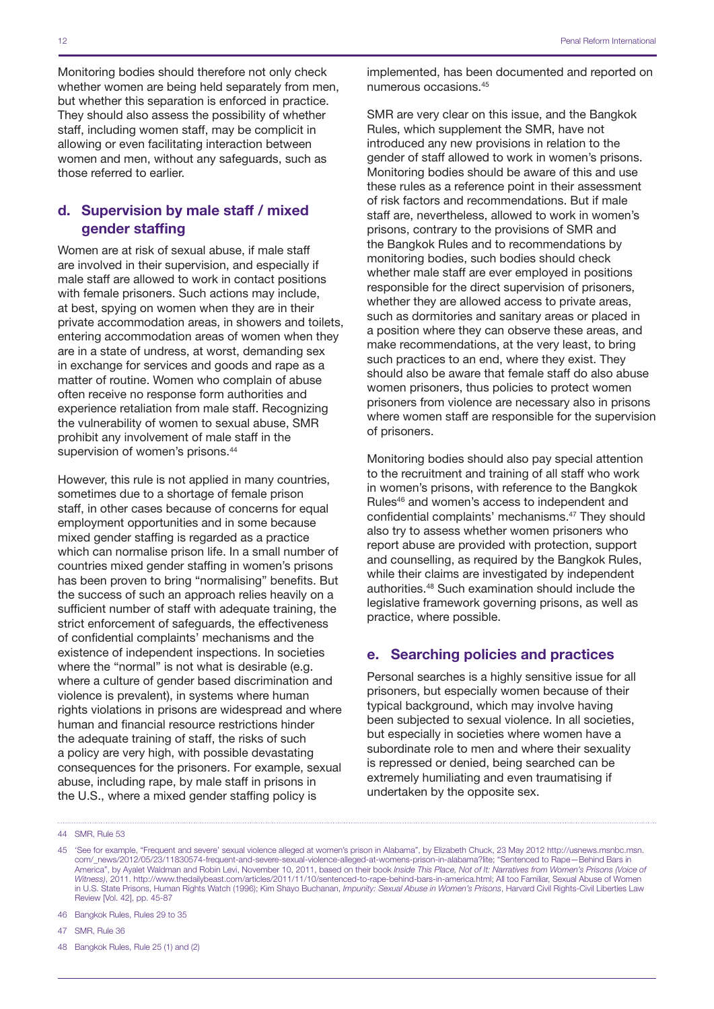Monitoring bodies should therefore not only check whether women are being held separately from men, but whether this separation is enforced in practice. They should also assess the possibility of whether staff, including women staff, may be complicit in allowing or even facilitating interaction between women and men, without any safeguards, such as those referred to earlier.

## d. Supervision by male staff / mixed gender staffing

Women are at risk of sexual abuse, if male staff are involved in their supervision, and especially if male staff are allowed to work in contact positions with female prisoners. Such actions may include, at best, spying on women when they are in their private accommodation areas, in showers and toilets, entering accommodation areas of women when they are in a state of undress, at worst, demanding sex in exchange for services and goods and rape as a matter of routine. Women who complain of abuse often receive no response form authorities and experience retaliation from male staff. Recognizing the vulnerability of women to sexual abuse, SMR prohibit any involvement of male staff in the supervision of women's prisons.<sup>44</sup>

However, this rule is not applied in many countries, sometimes due to a shortage of female prison staff, in other cases because of concerns for equal employment opportunities and in some because mixed gender staffing is regarded as a practice which can normalise prison life. In a small number of countries mixed gender staffing in women's prisons has been proven to bring "normalising" benefits. But the success of such an approach relies heavily on a sufficient number of staff with adequate training, the strict enforcement of safeguards, the effectiveness of confidential complaints' mechanisms and the existence of independent inspections. In societies where the "normal" is not what is desirable (e.g. where a culture of gender based discrimination and violence is prevalent), in systems where human rights violations in prisons are widespread and where human and financial resource restrictions hinder the adequate training of staff, the risks of such a policy are very high, with possible devastating consequences for the prisoners. For example, sexual abuse, including rape, by male staff in prisons in the U.S., where a mixed gender staffing policy is

implemented, has been documented and reported on numerous occasions.45

SMR are very clear on this issue, and the Bangkok Rules, which supplement the SMR, have not introduced any new provisions in relation to the gender of staff allowed to work in women's prisons. Monitoring bodies should be aware of this and use these rules as a reference point in their assessment of risk factors and recommendations. But if male staff are, nevertheless, allowed to work in women's prisons, contrary to the provisions of SMR and the Bangkok Rules and to recommendations by monitoring bodies, such bodies should check whether male staff are ever employed in positions responsible for the direct supervision of prisoners, whether they are allowed access to private areas. such as dormitories and sanitary areas or placed in a position where they can observe these areas, and make recommendations, at the very least, to bring such practices to an end, where they exist. They should also be aware that female staff do also abuse women prisoners, thus policies to protect women prisoners from violence are necessary also in prisons where women staff are responsible for the supervision of prisoners.

Monitoring bodies should also pay special attention to the recruitment and training of all staff who work in women's prisons, with reference to the Bangkok Rules46 and women's access to independent and confidential complaints' mechanisms.47 They should also try to assess whether women prisoners who report abuse are provided with protection, support and counselling, as required by the Bangkok Rules, while their claims are investigated by independent authorities.48 Such examination should include the legislative framework governing prisons, as well as practice, where possible.

#### e. Searching policies and practices

Personal searches is a highly sensitive issue for all prisoners, but especially women because of their typical background, which may involve having been subjected to sexual violence. In all societies, but especially in societies where women have a subordinate role to men and where their sexuality is repressed or denied, being searched can be extremely humiliating and even traumatising if undertaken by the opposite sex.

48 Bangkok Rules, Rule 25 (1) and (2)

<sup>44</sup> SMR, Rule 53

<sup>45</sup> 'See for example, "Frequent and severe' sexual violence alleged at women's prison in Alabama", by Elizabeth Chuck, 23 May 2012 [http://usnews.msnbc.msn.](http://usnews.msnbc.msn.com/_news/2012/05/23/11830574-frequent-and-severe-sexual-violence-alleged-at-womens-prison-in-alabama?lite) [com/\\_news/2012/05/23/11830574-frequent-and-severe-sexual-violence-alleged-at-womens-prison-in-alabama?lite;](http://usnews.msnbc.msn.com/_news/2012/05/23/11830574-frequent-and-severe-sexual-violence-alleged-at-womens-prison-in-alabama?lite) "Sentenced to Rape—Behind Bars in America", by Ayalet Waldman and Robin Levi, November 10, 2011, based on their book *Inside This Place, Not of It: Narratives from Women's Prisons (Voice of Witness)*, 2011. <http://www.thedailybeast.com/articles/2011/11/10/sentenced-to-rape-behind-bars-in-america.html>; All too Familiar, Sexual Abuse of Women in U.S. State Prisons, Human Rights Watch (1996); Kim Shayo Buchanan, *Impunity: Sexual Abuse in Women's Prisons*, Harvard Civil Rights-Civil Liberties Law Review [Vol. 42], pp. 45-87

<sup>46</sup> Bangkok Rules, Rules 29 to 35

<sup>47</sup> SMR, Rule 36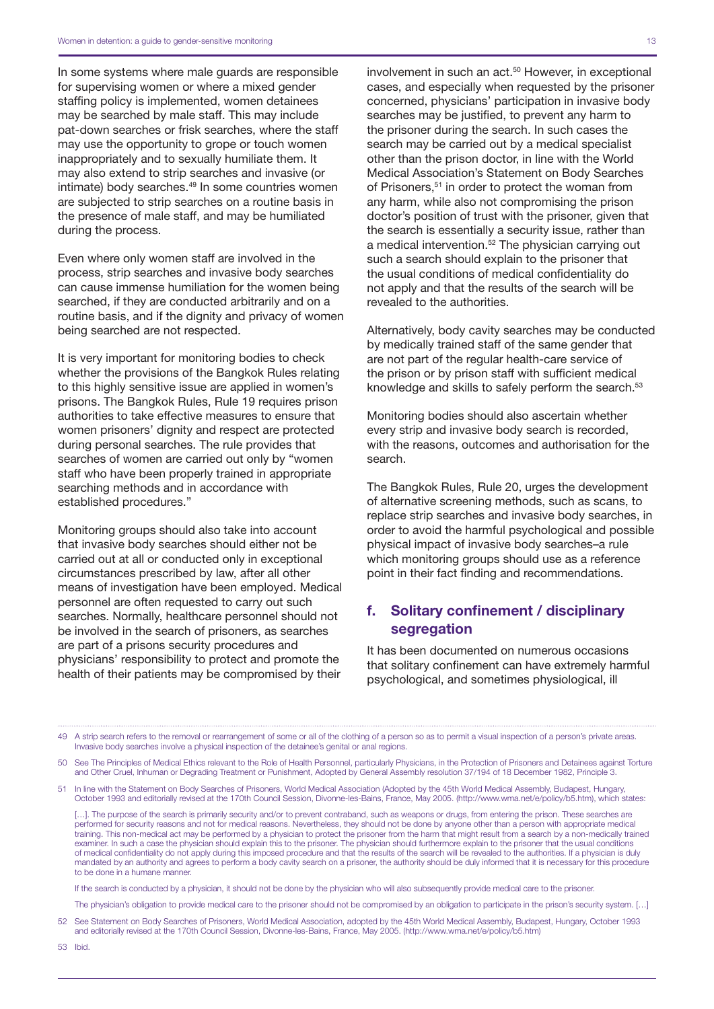In some systems where male guards are responsible for supervising women or where a mixed gender staffing policy is implemented, women detainees may be searched by male staff. This may include pat-down searches or frisk searches, where the staff may use the opportunity to grope or touch women inappropriately and to sexually humiliate them. It may also extend to strip searches and invasive (or intimate) body searches.<sup>49</sup> In some countries women are subjected to strip searches on a routine basis in the presence of male staff, and may be humiliated during the process.

Even where only women staff are involved in the process, strip searches and invasive body searches can cause immense humiliation for the women being searched, if they are conducted arbitrarily and on a routine basis, and if the dignity and privacy of women being searched are not respected.

It is very important for monitoring bodies to check whether the provisions of the Bangkok Rules relating to this highly sensitive issue are applied in women's prisons. The Bangkok Rules, Rule 19 requires prison authorities to take effective measures to ensure that women prisoners' dignity and respect are protected during personal searches. The rule provides that searches of women are carried out only by "women staff who have been properly trained in appropriate searching methods and in accordance with established procedures."

Monitoring groups should also take into account that invasive body searches should either not be carried out at all or conducted only in exceptional circumstances prescribed by law, after all other means of investigation have been employed. Medical personnel are often requested to carry out such searches. Normally, healthcare personnel should not be involved in the search of prisoners, as searches are part of a prisons security procedures and physicians' responsibility to protect and promote the health of their patients may be compromised by their

involvement in such an act.<sup>50</sup> However, in exceptional cases, and especially when requested by the prisoner concerned, physicians' participation in invasive body searches may be justified, to prevent any harm to the prisoner during the search. In such cases the search may be carried out by a medical specialist other than the prison doctor, in line with the World Medical Association's Statement on Body Searches of Prisoners,<sup>51</sup> in order to protect the woman from any harm, while also not compromising the prison doctor's position of trust with the prisoner, given that the search is essentially a security issue, rather than a medical intervention.52 The physician carrying out such a search should explain to the prisoner that the usual conditions of medical confidentiality do not apply and that the results of the search will be revealed to the authorities.

Alternatively, body cavity searches may be conducted by medically trained staff of the same gender that are not part of the regular health-care service of the prison or by prison staff with sufficient medical knowledge and skills to safely perform the search.<sup>53</sup>

Monitoring bodies should also ascertain whether every strip and invasive body search is recorded, with the reasons, outcomes and authorisation for the search.

The Bangkok Rules, Rule 20, urges the development of alternative screening methods, such as scans, to replace strip searches and invasive body searches, in order to avoid the harmful psychological and possible physical impact of invasive body searches–a rule which monitoring groups should use as a reference point in their fact finding and recommendations.

## f. Solitary confinement / disciplinary segregation

It has been documented on numerous occasions that solitary confinement can have extremely harmful psychological, and sometimes physiological, ill

49 A strip search refers to the removal or rearrangement of some or all of the clothing of a person so as to permit a visual inspection of a person's private areas. Invasive body searches involve a physical inspection of the detainee's genital or anal regions.

50 See The Principles of Medical Ethics relevant to the Role of Health Personnel, particularly Physicians, in the Protection of Prisoners and Detainees against Torture and Other Cruel, Inhuman or Degrading Treatment or Punishment, Adopted by General Assembly resolution 37/194 of 18 December 1982, Principle 3.

51 In line with the Statement on Body Searches of Prisoners, World Medical Association (Adopted by the 45th World Medical Assembly, Budapest, Hungary, October 1993 and editorially revised at the 170th Council Session, Divonne-les-Bains, France, May 2005. [\(http://www.wma.net/e/policy/b5.htm](http://www.wma.net/e/policy/b5.htm)), which states:

[...]. The purpose of the search is primarily security and/or to prevent contraband, such as weapons or drugs, from entering the prison. These searches are performed for security reasons and not for medical reasons. Nevertheless, they should not be done by anyone other than a person with appropriate medical training. This non-medical act may be performed by a physician to protect the prisoner from the harm that might result from a search by a non-medically trained examiner. In such a case the physician should explain this to the prisoner. The physician should furthermore explain to the prisoner that the usual conditions of medical confidentiality do not apply during this imposed procedure and that the results of the search will be revealed to the authorities. If a physician is duly mandated by an authority and agrees to perform a body cavity search on a prisoner, the authority should be duly informed that it is necessary for this procedure to be done in a humane manner.

If the search is conducted by a physician, it should not be done by the physician who will also subsequently provide medical care to the prisoner.

The physician's obligation to provide medical care to the prisoner should not be compromised by an obligation to participate in the prison's security system. […]

52 See Statement on Body Searches of Prisoners, World Medical Association, adopted by the 45th World Medical Assembly, Budapest, Hungary, October 1993 and editorially revised at the 170th Council Session, Divonne-les-Bains, France, May 2005. (http://www.wma.net/e/policy/b5.htm)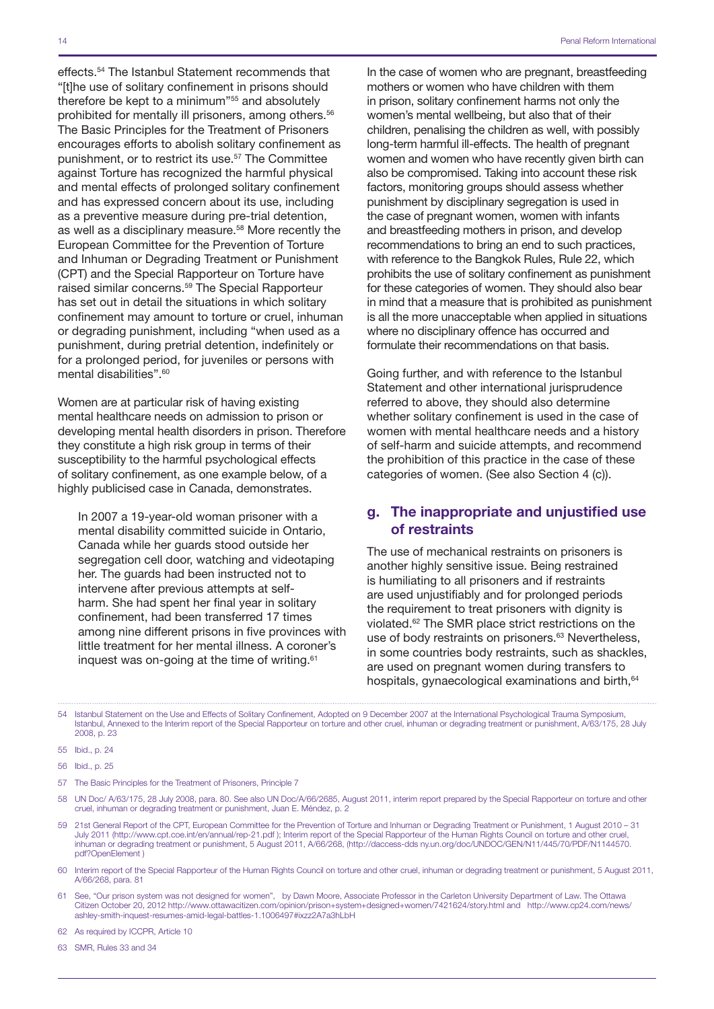effects.<sup>54</sup> The Istanbul Statement recommends that "[t]he use of solitary confinement in prisons should therefore be kept to a minimum"55 and absolutely prohibited for mentally ill prisoners, among others.<sup>56</sup> The Basic Principles for the Treatment of Prisoners encourages efforts to abolish solitary confinement as punishment, or to restrict its use.<sup>57</sup> The Committee against Torture has recognized the harmful physical and mental effects of prolonged solitary confinement and has expressed concern about its use, including as a preventive measure during pre-trial detention, as well as a disciplinary measure.58 More recently the European Committee for the Prevention of Torture and Inhuman or Degrading Treatment or Punishment (CPT) and the Special Rapporteur on Torture have raised similar concerns.59 The Special Rapporteur has set out in detail the situations in which solitary confinement may amount to torture or cruel, inhuman or degrading punishment, including "when used as a punishment, during pretrial detention, indefinitely or for a prolonged period, for juveniles or persons with mental disabilities".<sup>60</sup>

Women are at particular risk of having existing mental healthcare needs on admission to prison or developing mental health disorders in prison. Therefore they constitute a high risk group in terms of their susceptibility to the harmful psychological effects of solitary confinement, as one example below, of a highly publicised case in Canada, demonstrates.

In 2007 a 19-year-old woman prisoner with a mental disability committed suicide in Ontario, Canada while her guards stood outside her segregation cell door, watching and videotaping her. The guards had been instructed not to intervene after previous attempts at selfharm. She had spent her final year in solitary confinement, had been transferred 17 times among nine different prisons in five provinces with little treatment for her mental illness. A coroner's inquest was on-going at the time of writing.<sup>61</sup>

In the case of women who are pregnant, breastfeeding mothers or women who have children with them in prison, solitary confinement harms not only the women's mental wellbeing, but also that of their children, penalising the children as well, with possibly long-term harmful ill-effects. The health of pregnant women and women who have recently given birth can also be compromised. Taking into account these risk factors, monitoring groups should assess whether punishment by disciplinary segregation is used in the case of pregnant women, women with infants and breastfeeding mothers in prison, and develop recommendations to bring an end to such practices, with reference to the Bangkok Rules, Rule 22, which prohibits the use of solitary confinement as punishment for these categories of women. They should also bear in mind that a measure that is prohibited as punishment is all the more unacceptable when applied in situations where no disciplinary offence has occurred and formulate their recommendations on that basis.

Going further, and with reference to the Istanbul Statement and other international jurisprudence referred to above, they should also determine whether solitary confinement is used in the case of women with mental healthcare needs and a history of self-harm and suicide attempts, and recommend the prohibition of this practice in the case of these categories of women. (See also Section 4 (c)).

### g. The inappropriate and unjustified use of restraints

The use of mechanical restraints on prisoners is another highly sensitive issue. Being restrained is humiliating to all prisoners and if restraints are used unjustifiably and for prolonged periods the requirement to treat prisoners with dignity is violated.62 The SMR place strict restrictions on the use of body restraints on prisoners.<sup>63</sup> Nevertheless, in some countries body restraints, such as shackles, are used on pregnant women during transfers to hospitals, gynaecological examinations and birth, 64

54 Istanbul Statement on the Use and Effects of Solitary Confinement, Adopted on 9 December 2007 at the International Psychological Trauma Symposium, Istanbul, Annexed to the Interim report of the Special Rapporteur on torture and other cruel, inhuman or degrading treatment or punishment, A/63/175, 28 July 2008, p. 23

56 Ibid., p. 25

- 59 21st General Report of the CPT, European Committee for the Prevention of Torture and Inhuman or Degrading Treatment or Punishment, 1 August 2010 31 July 2011 [\(http://www.cpt.coe.int/en/annual/rep-21.pdf](http://www.cpt.coe.int/en/annual/rep-21.pdf) ); Interim report of the Special Rapporteur of the Human Rights Council on torture and other cruel, inhuman or degrading treatment or punishment, 5 August 2011, A/66/268, (http://daccess-dds ny.un.org/doc/UNDOC/GEN/N11/445/70/PDF/N1144570. pdf?OpenElement )
- 60 Interim report of the Special Rapporteur of the Human Rights Council on torture and other cruel, inhuman or degrading treatment or punishment, 5 August 2011, A/66/268, para. 81
- 61 See, "Our prison system was not designed for women", by Dawn Moore, Associate Professor in the Carleton University Department of Law. The Ottawa Citizen October 20, 2012<http://www.ottawacitizen.com/opinion/prison+system+designed+women/7421624/story.html>and http://www.cp24.com/news/ ashley-smith-inquest-resumes-amid-legal-battles-1.1006497#ixzz2A7a3hLbH

62 As required by ICCPR, Article 10

63 SMR, Rules 33 and 34

<sup>55</sup> Ibid., p. 24

<sup>57</sup> The Basic Principles for the Treatment of Prisoners, Principle 7

<sup>58</sup> UN Doc/ A/63/175, 28 July 2008, para. 80. See also UN Doc/A/66/2685, August 2011, interim report prepared by the Special Rapporteur on torture and other cruel, inhuman or degrading treatment or punishment, Juan E. Méndez, p. 2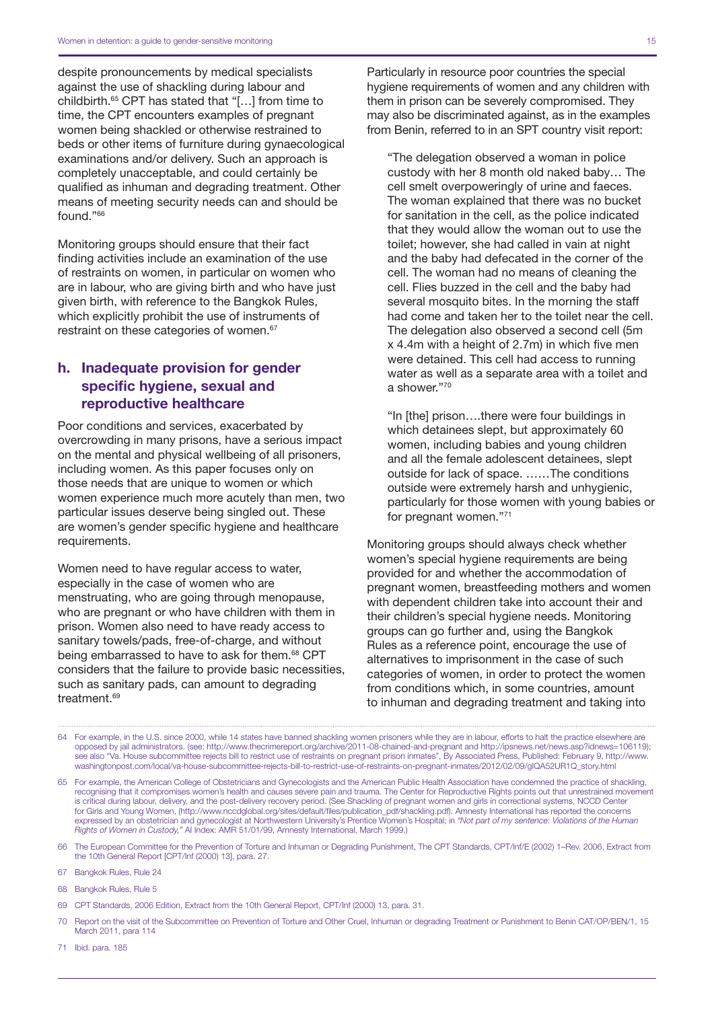despite pronouncements by medical specialists against the use of shackling during labour and childbirth.65 CPT has stated that "[…] from time to time, the CPT encounters examples of pregnant women being shackled or otherwise restrained to beds or other items of furniture during gynaecological examinations and/or delivery. Such an approach is completely unacceptable, and could certainly be qualified as inhuman and degrading treatment. Other means of meeting security needs can and should be found."66

Monitoring groups should ensure that their fact finding activities include an examination of the use of restraints on women, in particular on women who are in labour, who are giving birth and who have just given birth, with reference to the Bangkok Rules, which explicitly prohibit the use of instruments of restraint on these categories of women.<sup>67</sup>

## h. Inadequate provision for gender specific hygiene, sexual and reproductive healthcare

Poor conditions and services, exacerbated by overcrowding in many prisons, have a serious impact on the mental and physical wellbeing of all prisoners, including women. As this paper focuses only on those needs that are unique to women or which women experience much more acutely than men, two particular issues deserve being singled out. These are women's gender specific hygiene and healthcare requirements.

Women need to have regular access to water, especially in the case of women who are menstruating, who are going through menopause, who are pregnant or who have children with them in prison. Women also need to have ready access to sanitary towels/pads, free-of-charge, and without being embarrassed to have to ask for them.<sup>68</sup> CPT considers that the failure to provide basic necessities, such as sanitary pads, can amount to degrading treatment.<sup>69</sup>

Particularly in resource poor countries the special hygiene requirements of women and any children with them in prison can be severely compromised. They may also be discriminated against, as in the examples from Benin, referred to in an SPT country visit report:

"The delegation observed a woman in police custody with her 8 month old naked baby… The cell smelt overpoweringly of urine and faeces. The woman explained that there was no bucket for sanitation in the cell, as the police indicated that they would allow the woman out to use the toilet; however, she had called in vain at night and the baby had defecated in the corner of the cell. The woman had no means of cleaning the cell. Flies buzzed in the cell and the baby had several mosquito bites. In the morning the staff had come and taken her to the toilet near the cell. The delegation also observed a second cell (5m x 4.4m with a height of 2.7m) in which five men were detained. This cell had access to running water as well as a separate area with a toilet and a shower."70

"In [the] prison….there were four buildings in which detainees slept, but approximately 60 women, including babies and young children and all the female adolescent detainees, slept outside for lack of space. ……The conditions outside were extremely harsh and unhygienic, particularly for those women with young babies or for pregnant women."71

Monitoring groups should always check whether women's special hygiene requirements are being provided for and whether the accommodation of pregnant women, breastfeeding mothers and women with dependent children take into account their and their children's special hygiene needs. Monitoring groups can go further and, using the Bangkok Rules as a reference point, encourage the use of alternatives to imprisonment in the case of such categories of women, in order to protect the women from conditions which, in some countries, amount to inhuman and degrading treatment and taking into

64 For example, in the U.S. since 2000, while 14 states have banned shackling women prisoners while they are in labour, efforts to halt the practice elsewhere are opposed by jail administrators. (see: <http://www.thecrimereport.org/archive/2011-08-chained-and-pregnant>and<http://ipsnews.net/news.asp?idnews=106119>); see also "Va. House subcommittee rejects bill to restrict use of restraints on pregnant prison inmates", By Associated Press, Published: February 9, http://www. washingtonpost.com/local/va-house-subcommittee-rejects-bill-to-restrict-use-of-restraints-on-pregnant-inmates/2012/02/09/gIQA52UR1Q\_story.html

66 The European Committee for the Prevention of Torture and Inhuman or Degrading Punishment, The CPT Standards, CPT/Inf/E (2002) 1–Rev. 2006, Extract from the 10th General Report [CPT/Inf (2000) 13], para. 27.

67 Bangkok Rules, Rule 24

68 Bangkok Rules, Rule 5

69 CPT Standards, 2006 Edition, Extract from the 10th General Report, CPT/Inf (2000) 13, para. 31.

70 Report on the visit of the Subcommittee on Prevention of Torture and Other Cruel, Inhuman or degrading Treatment or Punishment to Benin CAT/OP/BEN/1, 15 March 2011, para 114

71 Ibid. para. 185

<sup>65</sup> For example, the American College of Obstetricians and Gynecologists and the American Public Health Association have condemned the practice of shackling, recognising that it compromises women's health and causes severe pain and trauma. The Center for Reproductive Rights points out that unrestrained movement is critical during labour, delivery, and the post-delivery recovery period. (See Shackling of pregnant women and girls in correctional systems, NCCD Center for Girls and Young Women, ([http://www.nccdglobal.org/sites/default/files/publication\\_pdf/shackling.pdf](http://www.nccdglobal.org/sites/default/files/publication_pdf/shackling.pdf)). Amnesty International has reported the concerns expressed by an obstetrician and gynecologist at Northwestern University's Prentice Women's Hospital; in *"Not part of my sentence*: *Violations of the Human Rights of Women in Custody,"* AI Index: AMR 51/01/99, Amnesty International, March 1999.)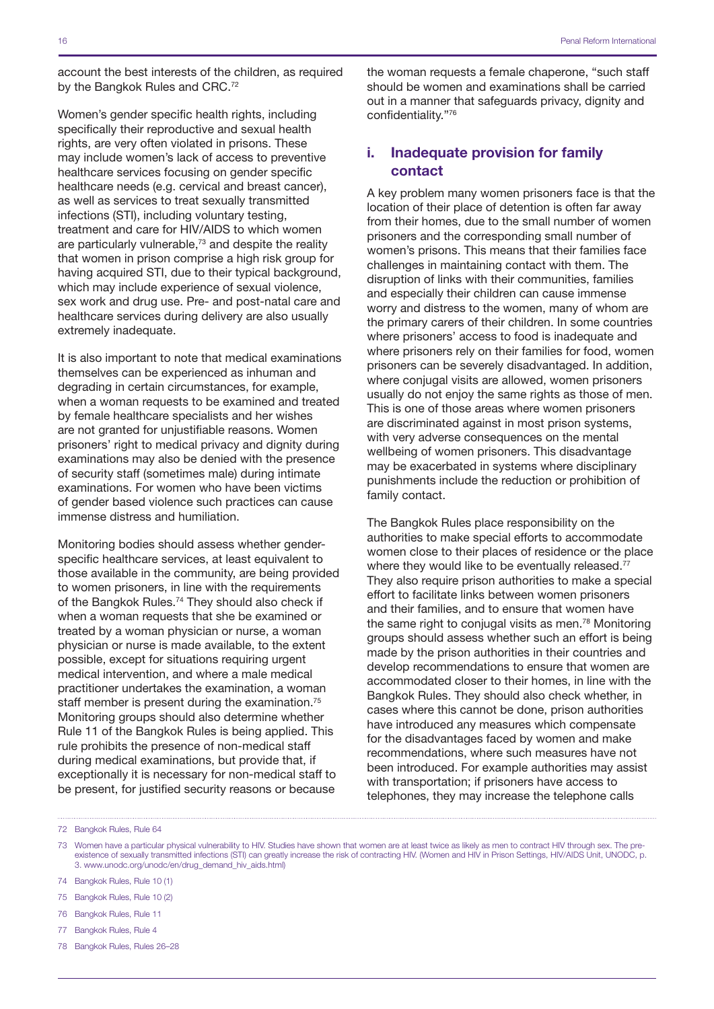account the best interests of the children, as required by the Bangkok Rules and CRC.<sup>72</sup>

Women's gender specific health rights, including specifically their reproductive and sexual health rights, are very often violated in prisons. These may include women's lack of access to preventive healthcare services focusing on gender specific healthcare needs (e.g. cervical and breast cancer), as well as services to treat sexually transmitted infections (STI), including voluntary testing, treatment and care for HIV/AIDS to which women are particularly vulnerable,<sup>73</sup> and despite the reality that women in prison comprise a high risk group for having acquired STI, due to their typical background, which may include experience of sexual violence, sex work and drug use. Pre- and post-natal care and healthcare services during delivery are also usually extremely inadequate.

It is also important to note that medical examinations themselves can be experienced as inhuman and degrading in certain circumstances, for example, when a woman requests to be examined and treated by female healthcare specialists and her wishes are not granted for unjustifiable reasons. Women prisoners' right to medical privacy and dignity during examinations may also be denied with the presence of security staff (sometimes male) during intimate examinations. For women who have been victims of gender based violence such practices can cause immense distress and humiliation.

Monitoring bodies should assess whether genderspecific healthcare services, at least equivalent to those available in the community, are being provided to women prisoners, in line with the requirements of the Bangkok Rules.<sup>74</sup> They should also check if when a woman requests that she be examined or treated by a woman physician or nurse, a woman physician or nurse is made available, to the extent possible, except for situations requiring urgent medical intervention, and where a male medical practitioner undertakes the examination, a woman staff member is present during the examination.<sup>75</sup> Monitoring groups should also determine whether Rule 11 of the Bangkok Rules is being applied. This rule prohibits the presence of non-medical staff during medical examinations, but provide that, if exceptionally it is necessary for non-medical staff to be present, for justified security reasons or because

the woman requests a female chaperone, "such staff should be women and examinations shall be carried out in a manner that safeguards privacy, dignity and confidentiality."76

### i. Inadequate provision for family contact

A key problem many women prisoners face is that the location of their place of detention is often far away from their homes, due to the small number of women prisoners and the corresponding small number of women's prisons. This means that their families face challenges in maintaining contact with them. The disruption of links with their communities, families and especially their children can cause immense worry and distress to the women, many of whom are the primary carers of their children. In some countries where prisoners' access to food is inadequate and where prisoners rely on their families for food, women prisoners can be severely disadvantaged. In addition, where conjugal visits are allowed, women prisoners usually do not enjoy the same rights as those of men. This is one of those areas where women prisoners are discriminated against in most prison systems, with very adverse consequences on the mental wellbeing of women prisoners. This disadvantage may be exacerbated in systems where disciplinary punishments include the reduction or prohibition of family contact.

The Bangkok Rules place responsibility on the authorities to make special efforts to accommodate women close to their places of residence or the place where they would like to be eventually released.<sup>77</sup> They also require prison authorities to make a special effort to facilitate links between women prisoners and their families, and to ensure that women have the same right to conjugal visits as men.78 Monitoring groups should assess whether such an effort is being made by the prison authorities in their countries and develop recommendations to ensure that women are accommodated closer to their homes, in line with the Bangkok Rules. They should also check whether, in cases where this cannot be done, prison authorities have introduced any measures which compensate for the disadvantages faced by women and make recommendations, where such measures have not been introduced. For example authorities may assist with transportation; if prisoners have access to telephones, they may increase the telephone calls

- 73 Women have a particular physical vulnerability to HIV. Studies have shown that women are at least twice as likely as men to contract HIV through sex. The preexistence of sexually transmitted infections (STI) can greatly increase the risk of contracting HIV. (Women and HIV in Prison Settings, HIV/AIDS Unit, UNODC, p. 3. www.unodc.org/unodc/en/drug\_demand\_hiv\_aids.html)
- 74 Bangkok Rules, Rule 10 (1)
- 75 Bangkok Rules, Rule 10 (2)
- 76 Bangkok Rules, Rule 11
- 77 Bangkok Rules, Rule 4
- 78 Bangkok Rules, Rules 26–28

<sup>72</sup> Bangkok Rules, Rule 64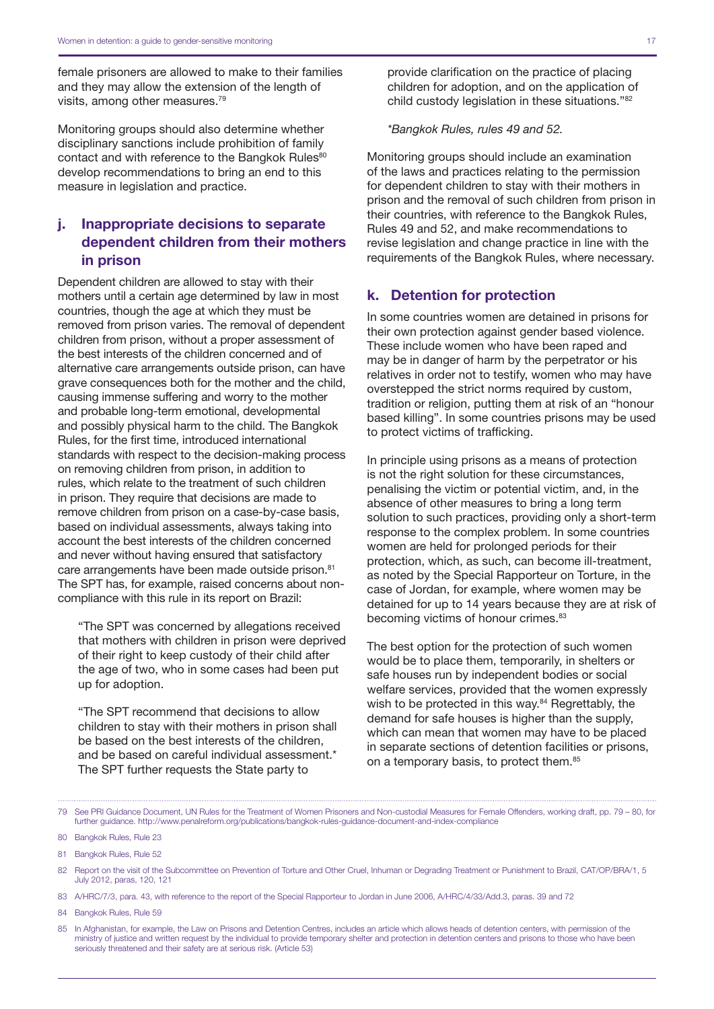female prisoners are allowed to make to their families and they may allow the extension of the length of visits, among other measures.79

Monitoring groups should also determine whether disciplinary sanctions include prohibition of family contact and with reference to the Bangkok Rules<sup>80</sup> develop recommendations to bring an end to this measure in legislation and practice.

## j. Inappropriate decisions to separate dependent children from their mothers in prison

Dependent children are allowed to stay with their mothers until a certain age determined by law in most countries, though the age at which they must be removed from prison varies. The removal of dependent children from prison, without a proper assessment of the best interests of the children concerned and of alternative care arrangements outside prison, can have grave consequences both for the mother and the child, causing immense suffering and worry to the mother and probable long-term emotional, developmental and possibly physical harm to the child. The Bangkok Rules, for the first time, introduced international standards with respect to the decision-making process on removing children from prison, in addition to rules, which relate to the treatment of such children in prison. They require that decisions are made to remove children from prison on a case-by-case basis, based on individual assessments, always taking into account the best interests of the children concerned and never without having ensured that satisfactory care arrangements have been made outside prison.<sup>81</sup> The SPT has, for example, raised concerns about noncompliance with this rule in its report on Brazil:

"The SPT was concerned by allegations received that mothers with children in prison were deprived of their right to keep custody of their child after the age of two, who in some cases had been put up for adoption.

"The SPT recommend that decisions to allow children to stay with their mothers in prison shall be based on the best interests of the children, and be based on careful individual assessment.\* The SPT further requests the State party to

provide clarification on the practice of placing children for adoption, and on the application of child custody legislation in these situations."82

*\*Bangkok Rules, rules 49 and 52.*

Monitoring groups should include an examination of the laws and practices relating to the permission for dependent children to stay with their mothers in prison and the removal of such children from prison in their countries, with reference to the Bangkok Rules, Rules 49 and 52, and make recommendations to revise legislation and change practice in line with the requirements of the Bangkok Rules, where necessary.

#### k. Detention for protection

In some countries women are detained in prisons for their own protection against gender based violence. These include women who have been raped and may be in danger of harm by the perpetrator or his relatives in order not to testify, women who may have overstepped the strict norms required by custom, tradition or religion, putting them at risk of an "honour based killing". In some countries prisons may be used to protect victims of trafficking.

In principle using prisons as a means of protection is not the right solution for these circumstances, penalising the victim or potential victim, and, in the absence of other measures to bring a long term solution to such practices, providing only a short-term response to the complex problem. In some countries women are held for prolonged periods for their protection, which, as such, can become ill-treatment, as noted by the Special Rapporteur on Torture, in the case of Jordan, for example, where women may be detained for up to 14 years because they are at risk of becoming victims of honour crimes.<sup>83</sup>

The best option for the protection of such women would be to place them, temporarily, in shelters or safe houses run by independent bodies or social welfare services, provided that the women expressly wish to be protected in this way.<sup>84</sup> Regrettably, the demand for safe houses is higher than the supply, which can mean that women may have to be placed in separate sections of detention facilities or prisons, on a temporary basis, to protect them.<sup>85</sup>

- 83 A/HRC/7/3, para. 43, with reference to the report of the Special Rapporteur to Jordan in June 2006, A/HRC/4/33/Add.3, paras. 39 and 72
- 84 Bangkok Rules, Rule 59

<sup>79</sup> See PRI Guidance Document, UN Rules for the Treatment of Women Prisoners and Non-custodial Measures for Female Offenders, working draft, pp. 79 – 80, for further guidance.<http://www.penalreform.org/publications/bangkok-rules-guidance-document-and-index-compliance>

<sup>80</sup> Bangkok Rules, Rule 23

<sup>81</sup> Bangkok Rules, Rule 52

<sup>82</sup> Report on the visit of the Subcommittee on Prevention of Torture and Other Cruel, Inhuman or Degrading Treatment or Punishment to Brazil, CAT/OP/BRA/1, 5 July 2012, paras, 120, 121

<sup>85</sup> In Afghanistan, for example, the Law on Prisons and Detention Centres, includes an article which allows heads of detention centers, with permission of the ministry of justice and written request by the individual to provide temporary shelter and protection in detention centers and prisons to those who have been seriously threatened and their safety are at serious risk. (Article 53)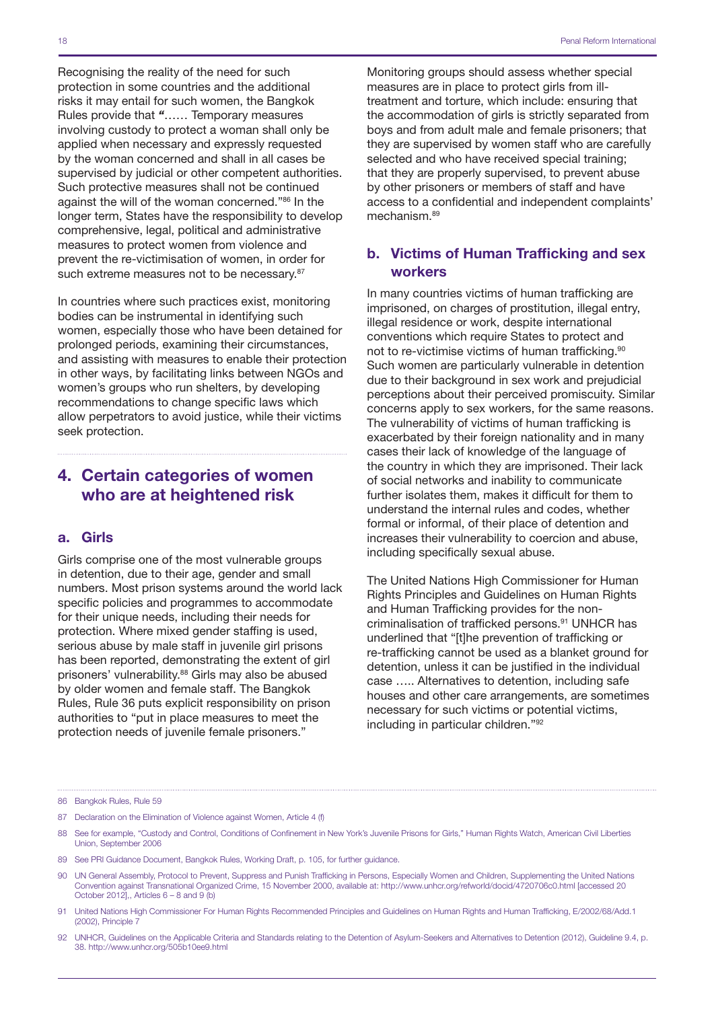Recognising the reality of the need for such protection in some countries and the additional risks it may entail for such women, the Bangkok Rules provide that *"*…… Temporary measures involving custody to protect a woman shall only be applied when necessary and expressly requested by the woman concerned and shall in all cases be supervised by judicial or other competent authorities. Such protective measures shall not be continued against the will of the woman concerned."86 In the longer term, States have the responsibility to develop comprehensive, legal, political and administrative measures to protect women from violence and prevent the re-victimisation of women, in order for such extreme measures not to be necessary.<sup>87</sup>

In countries where such practices exist, monitoring bodies can be instrumental in identifying such women, especially those who have been detained for prolonged periods, examining their circumstances, and assisting with measures to enable their protection in other ways, by facilitating links between NGOs and women's groups who run shelters, by developing recommendations to change specific laws which allow perpetrators to avoid justice, while their victims seek protection.

## 4. Certain categories of women who are at heightened risk

#### a. Girls

Girls comprise one of the most vulnerable groups in detention, due to their age, gender and small numbers. Most prison systems around the world lack specific policies and programmes to accommodate for their unique needs, including their needs for protection. Where mixed gender staffing is used, serious abuse by male staff in juvenile girl prisons has been reported, demonstrating the extent of girl prisoners' vulnerability.<sup>88</sup> Girls may also be abused by older women and female staff. The Bangkok Rules, Rule 36 puts explicit responsibility on prison authorities to "put in place measures to meet the protection needs of juvenile female prisoners."

Monitoring groups should assess whether special measures are in place to protect girls from illtreatment and torture, which include: ensuring that the accommodation of girls is strictly separated from boys and from adult male and female prisoners; that they are supervised by women staff who are carefully selected and who have received special training; that they are properly supervised, to prevent abuse by other prisoners or members of staff and have access to a confidential and independent complaints' mechanism.89

### b. Victims of Human Trafficking and sex workers

In many countries victims of human trafficking are imprisoned, on charges of prostitution, illegal entry, illegal residence or work, despite international conventions which require States to protect and not to re-victimise victims of human trafficking.<sup>90</sup> Such women are particularly vulnerable in detention due to their background in sex work and prejudicial perceptions about their perceived promiscuity. Similar concerns apply to sex workers, for the same reasons. The vulnerability of victims of human trafficking is exacerbated by their foreign nationality and in many cases their lack of knowledge of the language of the country in which they are imprisoned. Their lack of social networks and inability to communicate further isolates them, makes it difficult for them to understand the internal rules and codes, whether formal or informal, of their place of detention and increases their vulnerability to coercion and abuse, including specifically sexual abuse.

The United Nations High Commissioner for Human Rights Principles and Guidelines on Human Rights and Human Trafficking provides for the noncriminalisation of trafficked persons.<sup>91</sup> UNHCR has underlined that "[t]he prevention of trafficking or re-trafficking cannot be used as a blanket ground for detention, unless it can be justified in the individual case ….. Alternatives to detention, including safe houses and other care arrangements, are sometimes necessary for such victims or potential victims, including in particular children."92

- 87 Declaration on the Elimination of Violence against Women, Article 4 (f)
- 88 See for example, "Custody and Control, Conditions of Confinement in New York's Juvenile Prisons for Girls," Human Rights Watch, American Civil Liberties Union, September 2006
- 89 See PRI Guidance Document, Bangkok Rules, Working Draft, p. 105, for further guidance.
- 90 UN General Assembly, Protocol to Prevent, Suppress and Punish Trafficking in Persons, Especially Women and Children, Supplementing the United Nations Convention against Transnational Organized Crime, 15 November 2000, available at: http://www.unhcr.org/refworld/docid/4720706c0.html [accessed 20 October 2012],, Articles  $6 - 8$  and  $9$  (b)
- 91 United Nations High Commissioner For Human Rights Recommended Principles and Guidelines on Human Rights and Human Trafficking, E/2002/68/Add.1 (2002), Principle 7
- 92 UNHCR, Guidelines on the Applicable Criteria and Standards relating to the Detention of Asylum-Seekers and Alternatives to Detention (2012), Guideline 9.4, p. 38.<http://www.unhcr.org/505b10ee9.html>

<sup>86</sup> Bangkok Rules, Rule 59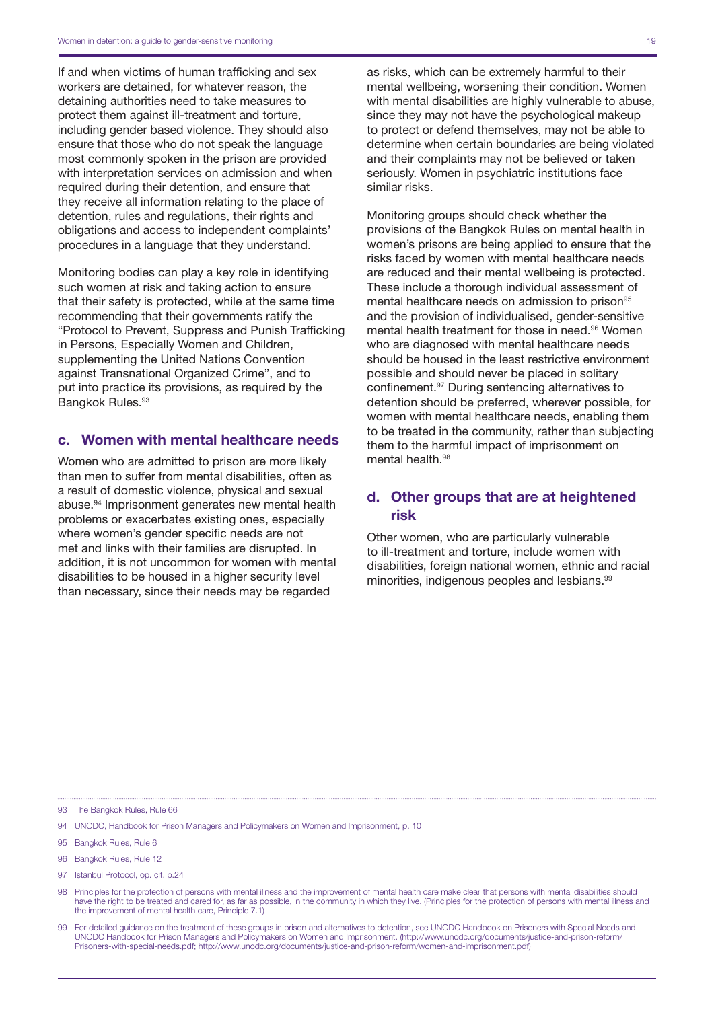If and when victims of human trafficking and sex workers are detained, for whatever reason, the detaining authorities need to take measures to protect them against ill-treatment and torture, including gender based violence. They should also ensure that those who do not speak the language most commonly spoken in the prison are provided with interpretation services on admission and when required during their detention, and ensure that they receive all information relating to the place of detention, rules and regulations, their rights and obligations and access to independent complaints' procedures in a language that they understand.

Monitoring bodies can play a key role in identifying such women at risk and taking action to ensure that their safety is protected, while at the same time recommending that their governments ratify the "Protocol to Prevent, Suppress and Punish Trafficking in Persons, Especially Women and Children, supplementing the United Nations Convention against Transnational Organized Crime", and to put into practice its provisions, as required by the Bangkok Rules.<sup>93</sup>

### c. Women with mental healthcare needs

Women who are admitted to prison are more likely than men to suffer from mental disabilities, often as a result of domestic violence, physical and sexual abuse.94 Imprisonment generates new mental health problems or exacerbates existing ones, especially where women's gender specific needs are not met and links with their families are disrupted. In addition, it is not uncommon for women with mental disabilities to be housed in a higher security level than necessary, since their needs may be regarded

Monitoring groups should check whether the provisions of the Bangkok Rules on mental health in women's prisons are being applied to ensure that the risks faced by women with mental healthcare needs are reduced and their mental wellbeing is protected. These include a thorough individual assessment of mental healthcare needs on admission to prison<sup>95</sup> and the provision of individualised, gender-sensitive mental health treatment for those in need.96 Women who are diagnosed with mental healthcare needs should be housed in the least restrictive environment possible and should never be placed in solitary confinement.97 During sentencing alternatives to detention should be preferred, wherever possible, for women with mental healthcare needs, enabling them to be treated in the community, rather than subjecting them to the harmful impact of imprisonment on mental health.<sup>98</sup>

similar risks.

### d. Other groups that are at heightened risk

Other women, who are particularly vulnerable to ill-treatment and torture, include women with disabilities, foreign national women, ethnic and racial minorities, indigenous peoples and lesbians.99

93 The Bangkok Rules, Rule 66

- 94 UNODC, Handbook for Prison Managers and Policymakers on Women and Imprisonment, p. 10
- 95 Bangkok Rules, Rule 6
- 96 Bangkok Rules, Rule 12
- 97 Istanbul Protocol, op. cit. p.24
- 98 Principles for the protection of persons with mental illness and the improvement of mental health care make clear that persons with mental disabilities should have the right to be treated and cared for, as far as possible, in the community in which they live. (Principles for the protection of persons with mental illness and the improvement of mental health care, Principle 7.1)
- 99 For detailed guidance on the treatment of these groups in prison and alternatives to detention, see UNODC Handbook on Prisoners with Special Needs and UNODC Handbook for Prison Managers and Policymakers on Women and Imprisonment. [\(http://www.unodc.org/documents/justice-and-prison-reform/](http://www.unodc.org/documents/justice-and-prison-reform/Prisoners-with-special-needs.pdf) [Prisoners-with-special-needs.pdf;](http://www.unodc.org/documents/justice-and-prison-reform/Prisoners-with-special-needs.pdf) <http://www.unodc.org/documents/justice-and-prison-reform/women-and-imprisonment.pdf>)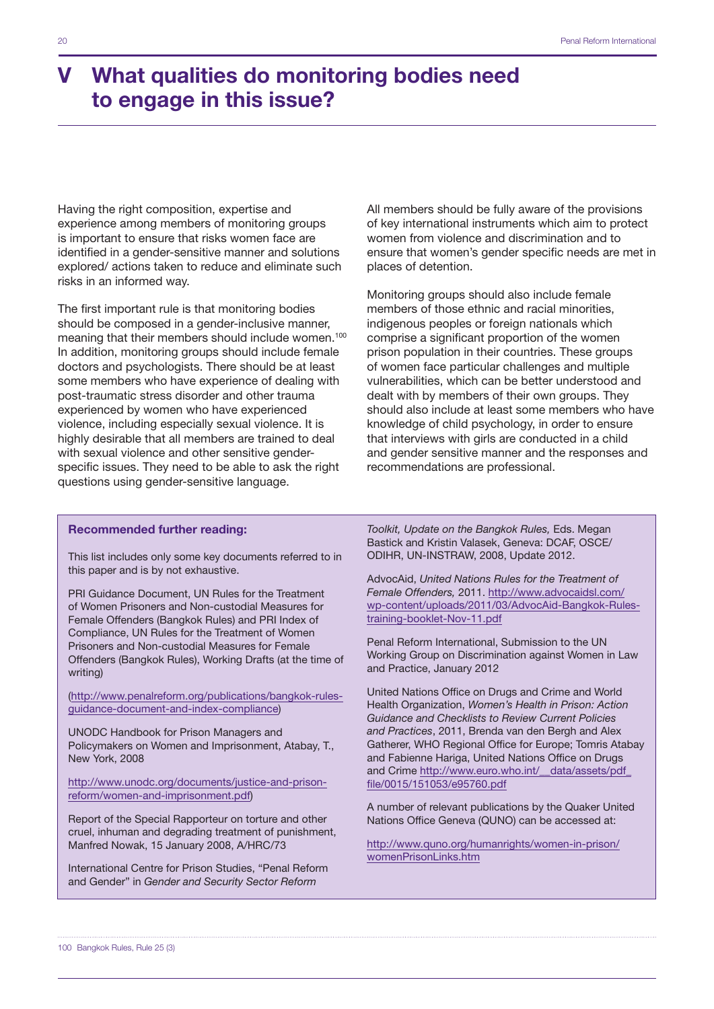## V What qualities do monitoring bodies need to engage in this issue?

Having the right composition, expertise and experience among members of monitoring groups is important to ensure that risks women face are identified in a gender-sensitive manner and solutions explored/ actions taken to reduce and eliminate such risks in an informed way.

The first important rule is that monitoring bodies should be composed in a gender-inclusive manner, meaning that their members should include women.<sup>100</sup> In addition, monitoring groups should include female doctors and psychologists. There should be at least some members who have experience of dealing with post-traumatic stress disorder and other trauma experienced by women who have experienced violence, including especially sexual violence. It is highly desirable that all members are trained to deal with sexual violence and other sensitive genderspecific issues. They need to be able to ask the right questions using gender-sensitive language.

All members should be fully aware of the provisions of key international instruments which aim to protect women from violence and discrimination and to ensure that women's gender specific needs are met in places of detention.

Monitoring groups should also include female members of those ethnic and racial minorities, indigenous peoples or foreign nationals which comprise a significant proportion of the women prison population in their countries. These groups of women face particular challenges and multiple vulnerabilities, which can be better understood and dealt with by members of their own groups. They should also include at least some members who have knowledge of child psychology, in order to ensure that interviews with girls are conducted in a child and gender sensitive manner and the responses and recommendations are professional.

#### Recommended further reading:

This list includes only some key documents referred to in this paper and is by not exhaustive.

PRI Guidance Document, UN Rules for the Treatment of Women Prisoners and Non-custodial Measures for Female Offenders (Bangkok Rules) and PRI Index of Compliance, UN Rules for the Treatment of Women Prisoners and Non-custodial Measures for Female Offenders (Bangkok Rules), Working Drafts (at the time of writing)

[\(http://www.penalreform.org/publications/bangkok-rules](http://www.penalreform.org/publications/bangkok-rules-guidance-document-and-index-compliance)[guidance-document-and-index-compliance](http://www.penalreform.org/publications/bangkok-rules-guidance-document-and-index-compliance))

UNODC Handbook for Prison Managers and Policymakers on Women and Imprisonment, Atabay, T., New York, 2008

[http://www.unodc.org/documents/justice-and-prison](http://www.unodc.org/documents/justice-and-prison-reform/women-and-imprisonment.pdf)[reform/women-and-imprisonment.pdf\)](http://www.unodc.org/documents/justice-and-prison-reform/women-and-imprisonment.pdf)

Report of the Special Rapporteur on torture and other cruel, inhuman and degrading treatment of punishment, Manfred Nowak, 15 January 2008, A/HRC/73

International Centre for Prison Studies, "Penal Reform and Gender" in *Gender and Security Sector Reform* 

*Toolkit, Update on the Bangkok Rules,* Eds. Megan Bastick and Kristin Valasek, Geneva: DCAF, OSCE/ ODIHR, UN-INSTRAW, 2008, Update 2012.

AdvocAid, *United Nations Rules for the Treatment of Female Offenders,* 2011. [http://www.advocaidsl.com/](http://www.advocaidsl.com/wp-content/uploads/2011/03/AdvocAid-Bangkok-Rules-training-booklet-Nov-11.pdf) [wp-content/uploads/2011/03/AdvocAid-Bangkok-Rules](http://www.advocaidsl.com/wp-content/uploads/2011/03/AdvocAid-Bangkok-Rules-training-booklet-Nov-11.pdf)[training-booklet-Nov-11.pdf](http://www.advocaidsl.com/wp-content/uploads/2011/03/AdvocAid-Bangkok-Rules-training-booklet-Nov-11.pdf)

Penal Reform International, Submission to the UN Working Group on Discrimination against Women in Law and Practice, January 2012

United Nations Office on Drugs and Crime and World Health Organization, *Women's Health in Prison: Action Guidance and Checklists to Review Current Policies and Practices*, 2011, Brenda van den Bergh and Alex Gatherer, WHO Regional Office for Europe; Tomris Atabay and Fabienne Hariga, United Nations Office on Drugs and Crime [http://www.euro.who.int/\\_\\_data/assets/pdf\\_](http://www.euro.who.int/__data/assets/pdf_file/0015/151053/e95760.pdf) [file/0015/151053/e95760.pdf](http://www.euro.who.int/__data/assets/pdf_file/0015/151053/e95760.pdf)

A number of relevant publications by the Quaker United Nations Office Geneva (QUNO) can be accessed at:

[http://www.quno.org/humanrights/women-in-prison/](http://www.quno.org/humanrights/women-in-prison/womenPrisonLinks.htm) [womenPrisonLinks.htm](http://www.quno.org/humanrights/women-in-prison/womenPrisonLinks.htm)